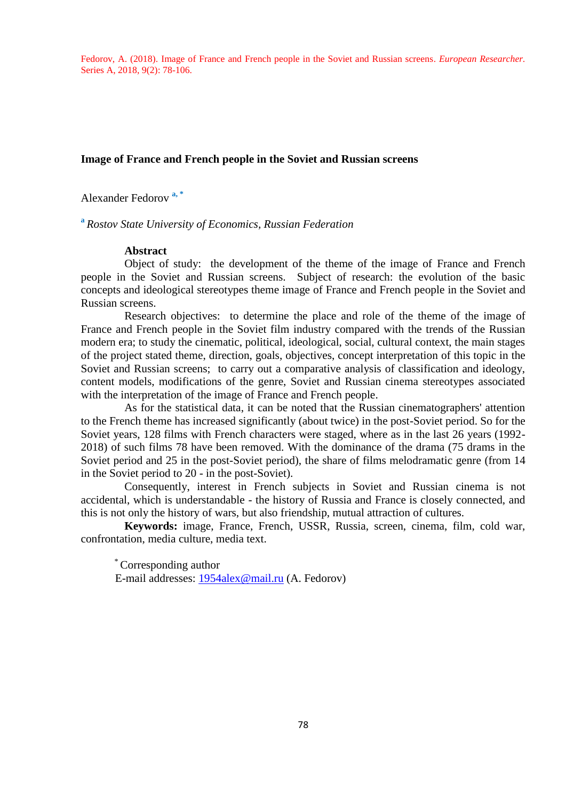Fedorov, A. (2018). Image of France and French people in the Soviet and Russian screens. *European Researcher.* Series A, 2018, 9(2): 78-106.

#### **Image of France and French people in the Soviet and Russian screens**

Alexander Fedorov **a, \***

**a** *Rostov State University of Economics, Russian Federation*

#### **Abstract**

Object of study: the development of the theme of the image of France and French people in the Soviet and Russian screens. Subject of research: the evolution of the basic concepts and ideological stereotypes theme image of France and French people in the Soviet and Russian screens.

Research objectives: to determine the place and role of the theme of the image of France and French people in the Soviet film industry compared with the trends of the Russian modern era; to study the cinematic, political, ideological, social, cultural context, the main stages of the project stated theme, direction, goals, objectives, concept interpretation of this topic in the Soviet and Russian screens; to carry out a comparative analysis of classification and ideology, content models, modifications of the genre, Soviet and Russian cinema stereotypes associated with the interpretation of the image of France and French people.

As for the statistical data, it can be noted that the Russian cinematographers' attention to the French theme has increased significantly (about twice) in the post-Soviet period. So for the Soviet years, 128 films with French characters were staged, where as in the last 26 years (1992- 2018) of such films 78 have been removed. With the dominance of the drama (75 drams in the Soviet period and 25 in the post-Soviet period), the share of films melodramatic genre (from 14 in the Soviet period to 20 - in the post-Soviet).

Consequently, interest in French subjects in Soviet and Russian cinema is not accidental, which is understandable - the history of Russia and France is closely connected, and this is not only the history of wars, but also friendship, mutual attraction of cultures.

**Keywords:** image, France, French, USSR, Russia, screen, cinema, film, cold war, confrontation, media culture, media text.

\* Corresponding author E-mail addresses: [1954alex@mail.ru](mailto:1954alex@mail.ru) (A. Fedorov)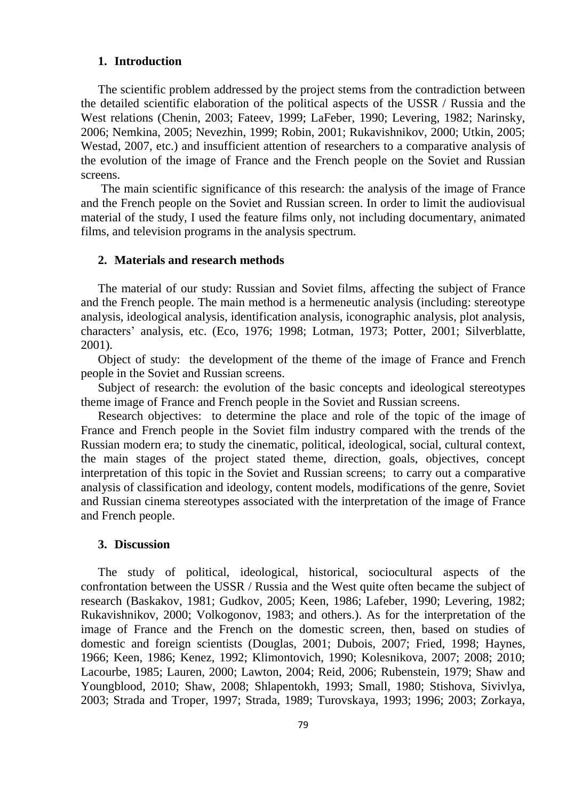# **1. Introduction**

The scientific problem addressed by the project stems from the contradiction between the detailed scientific elaboration of the political aspects of the USSR / Russia and the West relations (Chenin, 2003; Fateev, 1999; LaFeber, 1990; Levering, 1982; Narinsky, 2006; Nemkina, 2005; Nevezhin, 1999; Robin, 2001; Rukavishnikov, 2000; Utkin, 2005; Westad, 2007, etc.) and insufficient attention of researchers to a comparative analysis of the evolution of the image of France and the French people on the Soviet and Russian screens.

The main scientific significance of this research: the analysis of the image of France and the French people on the Soviet and Russian screen. In order to limit the audiovisual material of the study, I used the feature films only, not including documentary, animated films, and television programs in the analysis spectrum.

## **2. Materials and research methods**

The material of our study: Russian and Soviet films, affecting the subject of France and the French people. The main method is a hermeneutic analysis (including: stereotype analysis, ideological analysis, identification analysis, iconographic analysis, plot analysis, characters' analysis, etc. (Eco, 1976; 1998; Lotman, 1973; Potter, 2001; Silverblatte, 2001).

Object of study: the development of the theme of the image of France and French people in the Soviet and Russian screens.

Subject of research: the evolution of the basic concepts and ideological stereotypes theme image of France and French people in the Soviet and Russian screens.

Research objectives: to determine the place and role of the topic of the image of France and French people in the Soviet film industry compared with the trends of the Russian modern era; to study the cinematic, political, ideological, social, cultural context, the main stages of the project stated theme, direction, goals, objectives, concept interpretation of this topic in the Soviet and Russian screens; to carry out a comparative analysis of classification and ideology, content models, modifications of the genre, Soviet and Russian cinema stereotypes associated with the interpretation of the image of France and French people.

### **3. Discussion**

The study of political, ideological, historical, sociocultural aspects of the confrontation between the USSR / Russia and the West quite often became the subject of research (Baskakov, 1981; Gudkov, 2005; Keen, 1986; Lafeber, 1990; Levering, 1982; Rukavishnikov, 2000; Volkogonov, 1983; and others.). As for the interpretation of the image of France and the French on the domestic screen, then, based on studies of domestic and foreign scientists (Douglas, 2001; Dubois, 2007; Fried, 1998; Haynes, 1966; Keen, 1986; Kenez, 1992; Klimontovich, 1990; Kolesnikova, 2007; 2008; 2010; Lacourbe, 1985; Lauren, 2000; Lawton, 2004; Reid, 2006; Rubenstein, 1979; Shaw and Youngblood, 2010; Shaw, 2008; Shlapentokh, 1993; Small, 1980; Stishova, Sivivlya, 2003; Strada and Troper, 1997; Strada, 1989; Turovskaya, 1993; 1996; 2003; Zorkaya,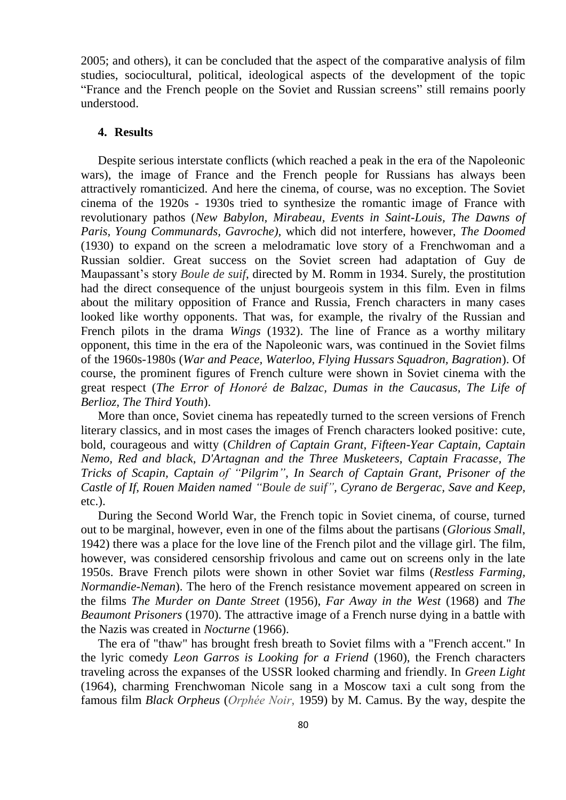2005; and others), it can be concluded that the aspect of the comparative analysis of film studies, sociocultural, political, ideological aspects of the development of the topic "France and the French people on the Soviet and Russian screens" still remains poorly understood.

# **4. Results**

Despite serious interstate conflicts (which reached a peak in the era of the Napoleonic wars), the image of France and the French people for Russians has always been attractively romanticized. And here the cinema, of course, was no exception. The Soviet cinema of the 1920s - 1930s tried to synthesize the romantic image of France with revolutionary pathos (*New Babylon, Mirabeau, Events in Saint-Louis, The Dawns of Paris, Young Communards, Gavroche),* which did not interfere, however, *The Doomed* (1930) to expand on the screen a melodramatic love story of a Frenchwoman and a Russian soldier. Great success on the Soviet screen had adaptation of Guy de Maupassant's story *Boule de suif*, directed by M. Romm in 1934. Surely, the prostitution had the direct consequence of the unjust bourgeois system in this film. Even in films about the military opposition of France and Russia, French characters in many cases looked like worthy opponents. That was, for example, the rivalry of the Russian and French pilots in the drama *Wings* (1932). The line of France as a worthy military opponent, this time in the era of the Napoleonic wars, was continued in the Soviet films of the 1960s-1980s (*War and Peace, Waterloo, Flying Hussars Squadron, Bagration*). Of course, the prominent figures of French culture were shown in Soviet cinema with the great respect (*The Error of Honoré de Balzac, Dumas in the Caucasus, The Life of Berlioz, The Third Youth*).

More than once, Soviet cinema has repeatedly turned to the screen versions of French literary classics, and in most cases the images of French characters looked positive: cute, bold, courageous and witty (*Children of Captain Grant, Fifteen-Year Captain, Captain Nemo, Red and black, D'Artagnan and the Three Musketeers, Captain Fracasse, The Tricks of Scapin, Captain of "Pilgrim", In Search of Captain Grant, Prisoner of the Castle of If, Rouen Maiden named "Boule de suif", Cyrano de Bergerac, Save and Keep,* etc.).

During the Second World War, the French topic in Soviet cinema, of course, turned out to be marginal, however, even in one of the films about the partisans (*Glorious Small*, 1942) there was a place for the love line of the French pilot and the village girl. The film, however, was considered censorship frivolous and came out on screens only in the late 1950s. Brave French pilots were shown in other Soviet war films (*Restless Farming, Normandie-Neman*). The hero of the French resistance movement appeared on screen in the films *The Murder on Dante Street* (1956), *Far Away in the West* (1968) and *The Beaumont Prisoners* (1970). The attractive image of a French nurse dying in a battle with the Nazis was created in *Nocturne* (1966).

The era of "thaw" has brought fresh breath to Soviet films with a "French accent." In the lyric comedy *Leon Garros is Looking for a Friend* (1960), the French characters traveling across the expanses of the USSR looked charming and friendly. In *Green Light* (1964), charming Frenchwoman Nicole sang in a Moscow taxi a cult song from the famous film *Black Orpheus* (*Orphée Noir*, 1959) by M. Camus. By the way, despite the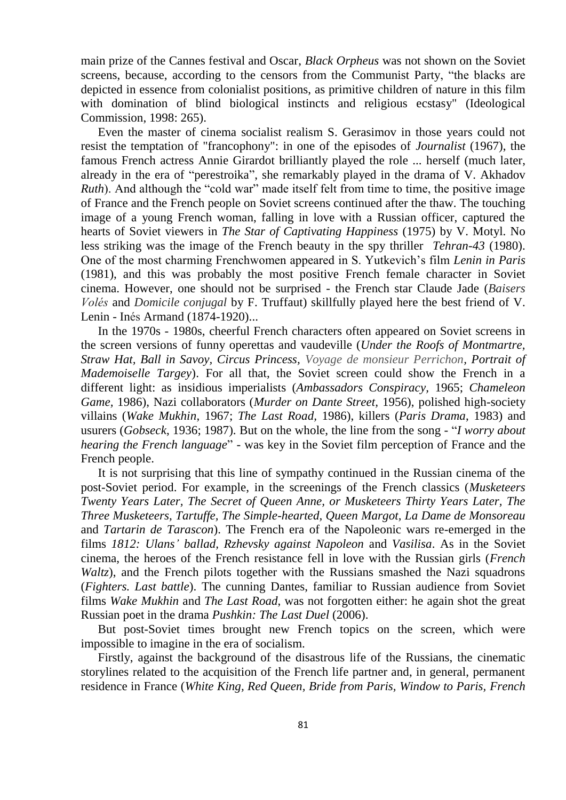main prize of the Cannes festival and Oscar, *Black Orpheus* was not shown on the Soviet screens, because, according to the censors from the Communist Party, "the blacks are depicted in essence from colonialist positions, as primitive children of nature in this film with domination of blind biological instincts and religious ecstasy" (Ideological Commission, 1998: 265).

Even the master of cinema socialist realism S. Gerasimov in those years could not resist the temptation of "francophony": in one of the episodes of *Journalist* (1967), the famous French actress Annie Girardot brilliantly played the role ... herself (much later, already in the era of "perestroika", she remarkably played in the drama of V. Akhadov *Ruth*). And although the "cold war" made itself felt from time to time, the positive image of France and the French people on Soviet screens continued after the thaw. The touching image of a young French woman, falling in love with a Russian officer, captured the hearts of Soviet viewers in *The Star of Captivating Happiness* (1975) by V. Motyl. No less striking was the image of the French beauty in the spy thriller *Tehran-43* (1980). One of the most charming Frenchwomen appeared in S. Yutkevich's film *Lenin in Paris* (1981), and this was probably the most positive French female character in Soviet cinema. However, one should not be surprised - the French star Claude Jade (*Baisers Volés* and *Domicile conjugal* by F. Truffaut) skillfully played here the best friend of V. Lenin - Inés Armand (1874-1920)...

In the 1970s - 1980s, cheerful French characters often appeared on Soviet screens in the screen versions of funny operettas and vaudeville (*Under the Roofs of Montmartre, Straw Hat, Ball in Savoy, Circus Princess, Voyage de monsieur Perrichon, Portrait of Mademoiselle Targey*). For all that, the Soviet screen could show the French in a different light: as insidious imperialists (*Ambassadors Conspiracy,* 1965; *Chameleon Game,* 1986), Nazi collaborators (*Murder on Dante Street,* 1956), polished high-society villains (*Wake Mukhin*, 1967; *The Last Road,* 1986), killers (*Paris Drama*, 1983) and usurers (*Gobseck*, 1936; 1987). But on the whole, the line from the song - "*I worry about hearing the French language*" - was key in the Soviet film perception of France and the French people.

It is not surprising that this line of sympathy continued in the Russian cinema of the post-Soviet period. For example, in the screenings of the French classics (*Musketeers Twenty Years Later, The Secret of Queen Anne, or Musketeers Thirty Years Later, The Three Musketeers, Tartuffe, The Simple-hearted, Queen Margot, La Dame de Monsoreau* and *Tartarin de Tarascon*). The French era of the Napoleonic wars re-emerged in the films *1812: Ulans' ballad, Rzhevsky against Napoleon* and *Vasilisa*. As in the Soviet cinema, the heroes of the French resistance fell in love with the Russian girls (*French Waltz*), and the French pilots together with the Russians smashed the Nazi squadrons (*Fighters. Last battle*). The cunning Dantes, familiar to Russian audience from Soviet films *Wake Mukhin* and *The Last Road*, was not forgotten either: he again shot the great Russian poet in the drama *Pushkin: The Last Duel* (2006).

But post-Soviet times brought new French topics on the screen, which were impossible to imagine in the era of socialism.

Firstly, against the background of the disastrous life of the Russians, the cinematic storylines related to the acquisition of the French life partner and, in general, permanent residence in France (*White King, Red Queen, Bride from Paris, Window to Paris, French*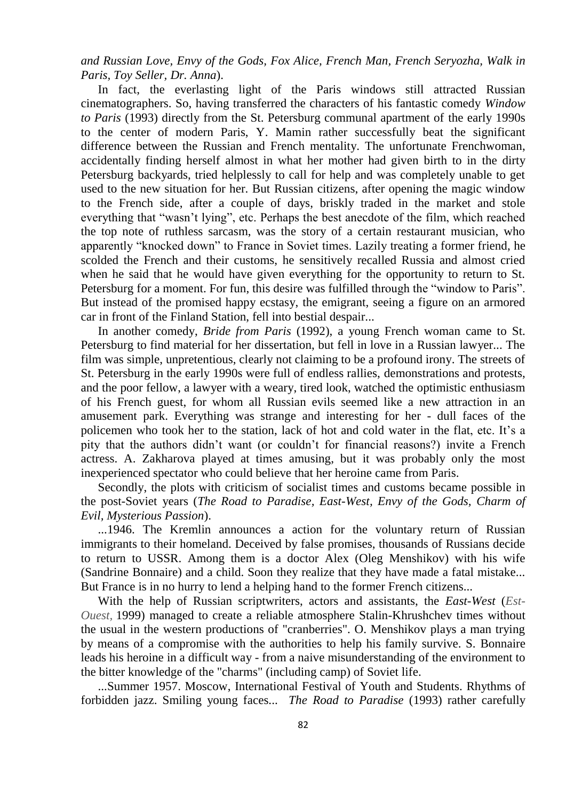*and Russian Love, Envy of the Gods, Fox Alice, French Man, French Seryozha, Walk in Paris, Toy Seller, Dr. Anna*).

In fact, the everlasting light of the Paris windows still attracted Russian cinematographers. So, having transferred the characters of his fantastic comedy *Window to Paris* (1993) directly from the St. Petersburg communal apartment of the early 1990s to the center of modern Paris, Y. Mamin rather successfully beat the significant difference between the Russian and French mentality. The unfortunate Frenchwoman, accidentally finding herself almost in what her mother had given birth to in the dirty Petersburg backyards, tried helplessly to call for help and was completely unable to get used to the new situation for her. But Russian citizens, after opening the magic window to the French side, after a couple of days, briskly traded in the market and stole everything that "wasn't lying", etc. Perhaps the best anecdote of the film, which reached the top note of ruthless sarcasm, was the story of a certain restaurant musician, who apparently "knocked down" to France in Soviet times. Lazily treating a former friend, he scolded the French and their customs, he sensitively recalled Russia and almost cried when he said that he would have given everything for the opportunity to return to St. Petersburg for a moment. For fun, this desire was fulfilled through the "window to Paris". But instead of the promised happy ecstasy, the emigrant, seeing a figure on an armored car in front of the Finland Station, fell into bestial despair...

In another comedy, *Bride from Paris* (1992), a young French woman came to St. Petersburg to find material for her dissertation, but fell in love in a Russian lawyer... The film was simple, unpretentious, clearly not claiming to be a profound irony. The streets of St. Petersburg in the early 1990s were full of endless rallies, demonstrations and protests, and the poor fellow, a lawyer with a weary, tired look, watched the optimistic enthusiasm of his French guest, for whom all Russian evils seemed like a new attraction in an amusement park. Everything was strange and interesting for her - dull faces of the policemen who took her to the station, lack of hot and cold water in the flat, etc. It's a pity that the authors didn't want (or couldn't for financial reasons?) invite a French actress. A. Zakharova played at times amusing, but it was probably only the most inexperienced spectator who could believe that her heroine came from Paris.

Secondly, the plots with criticism of socialist times and customs became possible in the post-Soviet years (*The Road to Paradise, East-West, Envy of the Gods, Charm of Evil, Mysterious Passion*).

...1946. The Kremlin announces a action for the voluntary return of Russian immigrants to their homeland. Deceived by false promises, thousands of Russians decide to return to USSR. Among them is a doctor Alex (Oleg Menshikov) with his wife (Sandrine Bonnaire) and a child. Soon they realize that they have made a fatal mistake... But France is in no hurry to lend a helping hand to the former French citizens...

With the help of Russian scriptwriters, actors and assistants, the *East-West* (*Est-Ouest,* 1999) managed to create a reliable atmosphere Stalin-Khrushchev times without the usual in the western productions of "cranberries". O. Menshikov plays a man trying by means of a compromise with the authorities to help his family survive. S. Bonnaire leads his heroine in a difficult way - from a naive misunderstanding of the environment to the bitter knowledge of the "charms" (including camp) of Soviet life.

...Summer 1957. Moscow, International Festival of Youth and Students. Rhythms of forbidden jazz. Smiling young faces... *The Road to Paradise* (1993) rather carefully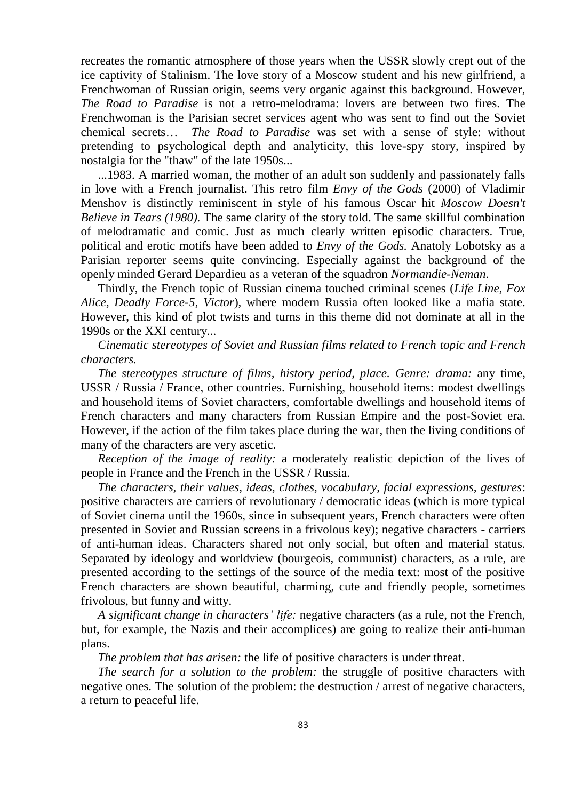recreates the romantic atmosphere of those years when the USSR slowly crept out of the ice captivity of Stalinism. The love story of a Moscow student and his new girlfriend, a Frenchwoman of Russian origin, seems very organic against this background. However, *The Road to Paradise* is not a retro-melodrama: lovers are between two fires. The Frenchwoman is the Parisian secret services agent who was sent to find out the Soviet chemical secrets… *The Road to Paradise* was set with a sense of style: without pretending to psychological depth and analyticity, this love-spy story, inspired by nostalgia for the "thaw" of the late 1950s...

...1983. A married woman, the mother of an adult son suddenly and passionately falls in love with a French journalist. This retro film *Envy of the Gods* (2000) of Vladimir Menshov is distinctly reminiscent in style of his famous Oscar hit *Moscow Doesn't Believe in Tears (1980).* The same clarity of the story told. The same skillful combination of melodramatic and comic. Just as much clearly written episodic characters. True, political and erotic motifs have been added to *Envy of the Gods.* Anatoly Lobotsky as a Parisian reporter seems quite convincing. Especially against the background of the openly minded Gerard Depardieu as a veteran of the squadron *Normandie-Neman*.

Thirdly, the French topic of Russian cinema touched criminal scenes (*Life Line, Fox Alice, Deadly Force-5, Victor*), where modern Russia often looked like a mafia state. However, this kind of plot twists and turns in this theme did not dominate at all in the 1990s or the XXI century...

*Cinematic stereotypes of Soviet and Russian films related to French topic and French characters.*

*The stereotypes structure of films, history period, place. Genre: drama:* any time, USSR / Russia / France, other countries. Furnishing, household items: modest dwellings and household items of Soviet characters, comfortable dwellings and household items of French characters and many characters from Russian Empire and the post-Soviet era. However, if the action of the film takes place during the war, then the living conditions of many of the characters are very ascetic.

*Reception of the image of reality:* a moderately realistic depiction of the lives of people in France and the French in the USSR / Russia.

*The characters, their values, ideas, clothes, vocabulary, facial expressions, gestures*: positive characters are carriers of revolutionary / democratic ideas (which is more typical of Soviet cinema until the 1960s, since in subsequent years, French characters were often presented in Soviet and Russian screens in a frivolous key); negative characters - carriers of anti-human ideas. Characters shared not only social, but often and material status. Separated by ideology and worldview (bourgeois, communist) characters, as a rule, are presented according to the settings of the source of the media text: most of the positive French characters are shown beautiful, charming, cute and friendly people, sometimes frivolous, but funny and witty.

*A significant change in characters' life:* negative characters (as a rule, not the French, but, for example, the Nazis and their accomplices) are going to realize their anti-human plans.

*The problem that has arisen:* the life of positive characters is under threat.

*The search for a solution to the problem:* the struggle of positive characters with negative ones. The solution of the problem: the destruction / arrest of negative characters, a return to peaceful life.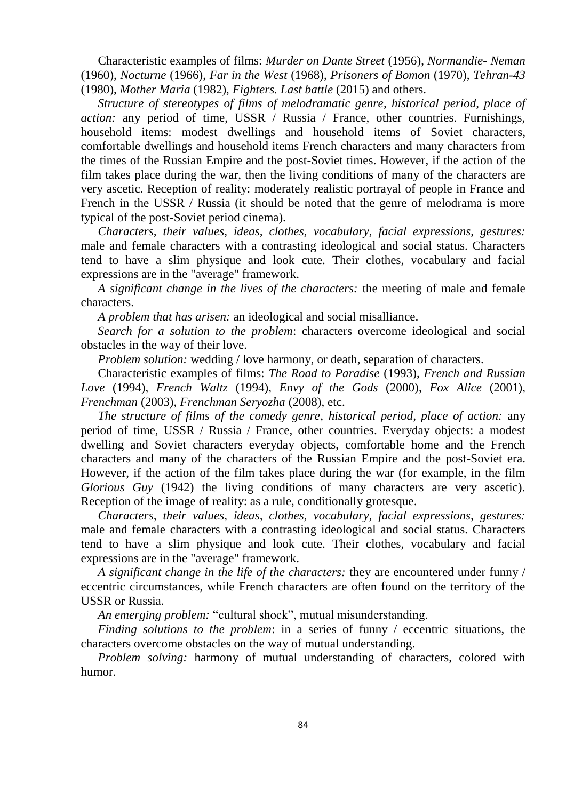Characteristic examples of films: *Murder on Dante Street* (1956), *Normandie- Neman* (1960), *Nocturne* (1966), *Far in the West* (1968), *Prisoners of Bomon* (1970), *Tehran-43* (1980), *Mother Maria* (1982), *Fighters. Last battle* (2015) and others.

*Structure of stereotypes of films of melodramatic genre, historical period, place of action:* any period of time, USSR / Russia / France, other countries. Furnishings, household items: modest dwellings and household items of Soviet characters, comfortable dwellings and household items French characters and many characters from the times of the Russian Empire and the post-Soviet times. However, if the action of the film takes place during the war, then the living conditions of many of the characters are very ascetic. Reception of reality: moderately realistic portrayal of people in France and French in the USSR / Russia (it should be noted that the genre of melodrama is more typical of the post-Soviet period cinema).

*Characters, their values, ideas, clothes, vocabulary, facial expressions, gestures:* male and female characters with a contrasting ideological and social status. Characters tend to have a slim physique and look cute. Their clothes, vocabulary and facial expressions are in the "average" framework.

*A significant change in the lives of the characters:* the meeting of male and female characters.

*A problem that has arisen:* an ideological and social misalliance.

*Search for a solution to the problem*: characters overcome ideological and social obstacles in the way of their love.

*Problem solution:* wedding / love harmony, or death, separation of characters.

Characteristic examples of films: *The Road to Paradise* (1993), *French and Russian Love* (1994), *French Waltz* (1994), *Envy of the Gods* (2000), *Fox Alice* (2001), *Frenchman* (2003), *Frenchman Seryozha* (2008), etc.

*The structure of films of the comedy genre, historical period, place of action:* any period of time, USSR / Russia / France, other countries. Everyday objects: a modest dwelling and Soviet characters everyday objects, comfortable home and the French characters and many of the characters of the Russian Empire and the post-Soviet era. However, if the action of the film takes place during the war (for example, in the film *Glorious Guy* (1942) the living conditions of many characters are very ascetic). Reception of the image of reality: as a rule, conditionally grotesque.

*Characters, their values, ideas, clothes, vocabulary, facial expressions, gestures:* male and female characters with a contrasting ideological and social status. Characters tend to have a slim physique and look cute. Their clothes, vocabulary and facial expressions are in the "average" framework.

*A significant change in the life of the characters:* they are encountered under funny / eccentric circumstances, while French characters are often found on the territory of the USSR or Russia.

*An emerging problem:* "cultural shock", mutual misunderstanding.

*Finding solutions to the problem*: in a series of funny / eccentric situations, the characters overcome obstacles on the way of mutual understanding.

*Problem solving:* harmony of mutual understanding of characters, colored with humor.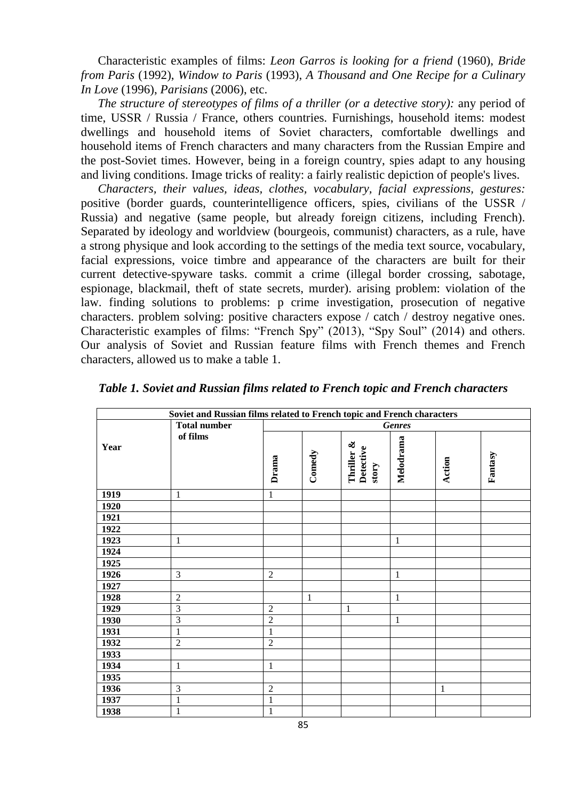Characteristic examples of films: *Leon Garros is looking for a friend* (1960), *Bride from Paris* (1992), *Window to Paris* (1993), *A Thousand and One Recipe for a Culinary In Love* (1996), *Parisians* (2006), etc.

*The structure of stereotypes of films of a thriller (or a detective story):* any period of time, USSR / Russia / France, others countries. Furnishings, household items: modest dwellings and household items of Soviet characters, comfortable dwellings and household items of French characters and many characters from the Russian Empire and the post-Soviet times. However, being in a foreign country, spies adapt to any housing and living conditions. Image tricks of reality: a fairly realistic depiction of people's lives.

*Characters, their values, ideas, clothes, vocabulary, facial expressions, gestures:* positive (border guards, counterintelligence officers, spies, civilians of the USSR / Russia) and negative (same people, but already foreign citizens, including French). Separated by ideology and worldview (bourgeois, communist) characters, as a rule, have a strong physique and look according to the settings of the media text source, vocabulary, facial expressions, voice timbre and appearance of the characters are built for their current detective-spyware tasks. commit a crime (illegal border crossing, sabotage, espionage, blackmail, theft of state secrets, murder). arising problem: violation of the law. finding solutions to problems: p crime investigation, prosecution of negative characters. problem solving: positive characters expose / catch / destroy negative ones. Characteristic examples of films: "French Spy" (2013), "Spy Soul" (2014) and others. Our analysis of Soviet and Russian feature films with French themes and French characters, allowed us to make a table 1.

| Soviet and Russian films related to French topic and French characters |                                 |                |              |                                  |              |              |         |  |
|------------------------------------------------------------------------|---------------------------------|----------------|--------------|----------------------------------|--------------|--------------|---------|--|
|                                                                        | <b>Total number</b><br>of films | <b>Genres</b>  |              |                                  |              |              |         |  |
| Year                                                                   |                                 | Drama          | Comedy       | Thriller &<br>Detective<br>story | Melodrama    | Action       | Fantasy |  |
| 1919                                                                   | $\mathbf{1}$                    | $\mathbf{1}$   |              |                                  |              |              |         |  |
| 1920                                                                   |                                 |                |              |                                  |              |              |         |  |
| 1921                                                                   |                                 |                |              |                                  |              |              |         |  |
| 1922                                                                   |                                 |                |              |                                  |              |              |         |  |
| 1923                                                                   | $\mathbf{1}$                    |                |              |                                  | $\mathbf{1}$ |              |         |  |
| 1924                                                                   |                                 |                |              |                                  |              |              |         |  |
| 1925                                                                   |                                 |                |              |                                  |              |              |         |  |
| 1926                                                                   | 3                               | $\overline{2}$ |              |                                  | $\mathbf{1}$ |              |         |  |
| 1927                                                                   |                                 |                |              |                                  |              |              |         |  |
| 1928                                                                   | $\overline{2}$                  |                | $\mathbf{1}$ |                                  | $\mathbf{1}$ |              |         |  |
| 1929                                                                   | $\overline{3}$                  | $\mathfrak{2}$ |              | $\mathbf{1}$                     |              |              |         |  |
| 1930                                                                   | $\mathfrak{Z}$                  | $\sqrt{2}$     |              |                                  | $\mathbf{1}$ |              |         |  |
| 1931                                                                   | $\,1\,$                         | $\,1$          |              |                                  |              |              |         |  |
| 1932                                                                   | $\overline{2}$                  | $\overline{2}$ |              |                                  |              |              |         |  |
| 1933                                                                   |                                 |                |              |                                  |              |              |         |  |
| 1934                                                                   | 1                               | $\mathbf{1}$   |              |                                  |              |              |         |  |
| 1935                                                                   |                                 |                |              |                                  |              |              |         |  |
| 1936                                                                   | 3                               | $\overline{2}$ |              |                                  |              | $\mathbf{1}$ |         |  |
| 1937                                                                   | $\mathbf{1}$                    | $\mathbf{1}$   |              |                                  |              |              |         |  |
| 1938                                                                   | $\mathbf{1}$                    | $\,1$          |              |                                  |              |              |         |  |

*Table 1. Soviet and Russian films related to French topic and French characters*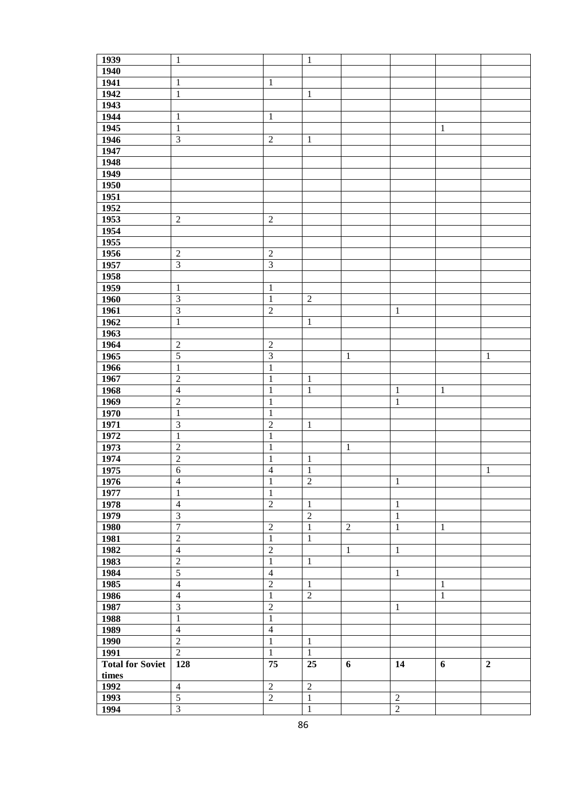| 1939                    | $\,1\,$                 |                         | $\mathbf{1}$   |                |                |              |                  |
|-------------------------|-------------------------|-------------------------|----------------|----------------|----------------|--------------|------------------|
| 1940                    |                         |                         |                |                |                |              |                  |
| 1941                    | $\,1\,$                 | $\,1\,$                 |                |                |                |              |                  |
| 1942                    | $\,1\,$                 |                         | $\mathbf{1}$   |                |                |              |                  |
| 1943                    |                         |                         |                |                |                |              |                  |
| 1944                    | $\,1\,$                 | $\,1\,$                 |                |                |                |              |                  |
| 1945                    | $\,1\,$                 |                         |                |                |                | $\mathbf{1}$ |                  |
|                         |                         |                         |                |                |                |              |                  |
| 1946                    | $\overline{\mathbf{3}}$ | $\sqrt{2}$              | $\mathbf{1}$   |                |                |              |                  |
| $\frac{1}{1947}$        |                         |                         |                |                |                |              |                  |
| 1948                    |                         |                         |                |                |                |              |                  |
| 1949                    |                         |                         |                |                |                |              |                  |
| 1950                    |                         |                         |                |                |                |              |                  |
| 1951                    |                         |                         |                |                |                |              |                  |
| 1952                    |                         |                         |                |                |                |              |                  |
| 1953                    | $\sqrt{2}$              | $\sqrt{2}$              |                |                |                |              |                  |
| 1954                    |                         |                         |                |                |                |              |                  |
| 1955                    |                         |                         |                |                |                |              |                  |
| 1956                    |                         | $\sqrt{2}$              |                |                |                |              |                  |
|                         | $\sqrt{2}$              |                         |                |                |                |              |                  |
| 1957                    | $\overline{\mathbf{3}}$ | $\overline{\mathbf{3}}$ |                |                |                |              |                  |
| 1958                    |                         |                         |                |                |                |              |                  |
| 1959                    | $\,1\,$                 | $\mathbf{1}$            |                |                |                |              |                  |
| 1960                    | $\sqrt{3}$              | $\mathbf{1}$            | $\sqrt{2}$     |                |                |              |                  |
| 1961                    | $\overline{3}$          | $\overline{2}$          |                |                | $\mathbf{1}$   |              |                  |
| 1962                    | $\mathbf 1$             |                         | $\mathbf{1}$   |                |                |              |                  |
| 1963                    |                         |                         |                |                |                |              |                  |
| 1964                    | $\sqrt{2}$              | $\sqrt{2}$              |                |                |                |              |                  |
| 1965                    | $\overline{5}$          | $\overline{3}$          |                | $\mathbf{1}$   |                |              | $\mathbf{1}$     |
| 1966                    | $\mathbf 1$             | $\mathbf 1$             |                |                |                |              |                  |
| 1967                    | $\overline{2}$          | $\mathbf 1$             | $\mathbf{1}$   |                |                |              |                  |
|                         |                         |                         |                |                |                |              |                  |
| 1968                    | $\overline{4}$          | $\mathbf{1}$            | $\mathbf{1}$   |                | $\mathbf{1}$   | $\mathbf{1}$ |                  |
| 1969                    | $\overline{2}$          | $\mathbf{1}$            |                |                | $\,1\,$        |              |                  |
| 1970                    | $\,1\,$                 | $\mathbf 1$             |                |                |                |              |                  |
| 1971                    | $\overline{\mathbf{3}}$ | $\overline{2}$          | $\mathbf{1}$   |                |                |              |                  |
| 1972                    | $\,1\,$                 | $\mathbf 1$             |                |                |                |              |                  |
| 1973                    | $\overline{2}$          | $\mathbf 1$             |                | $\mathbf{1}$   |                |              |                  |
| 1974                    | $\overline{2}$          | $\,1$                   | $\mathbf{1}$   |                |                |              |                  |
| 1975                    | $\overline{6}$          | $\overline{4}$          | $\mathbf{1}$   |                |                |              | $\mathbf{1}$     |
| 1976                    | $\overline{4}$          | 1                       | $\mathbf{2}$   |                | 1              |              |                  |
| 1977                    | $\mathbf{1}$            | $\mathbf{1}$            |                |                |                |              |                  |
| 1978                    | $\overline{4}$          | $\sqrt{2}$              | $\mathbf{1}$   |                | $\mathbf{1}$   |              |                  |
| 1979                    | $\overline{3}$          |                         | $\sqrt{2}$     |                | $\mathbf{1}$   |              |                  |
|                         | $\overline{7}$          | $\overline{2}$          | $\mathbf{1}$   |                |                |              |                  |
| 1980                    |                         |                         |                | $\overline{2}$ | $\mathbf{1}$   | $\mathbf{1}$ |                  |
| 1981                    | $\overline{2}$          | $\mathbf{1}$            | $\mathbf{1}$   |                |                |              |                  |
| 1982                    | $\overline{4}$          | $\overline{2}$          |                | $\mathbf{1}$   | $\mathbf{1}$   |              |                  |
| 1983                    | $\overline{2}$          | $\mathbf{1}$            | $\mathbf{1}$   |                |                |              |                  |
| 1984                    | $\overline{5}$          | $\overline{4}$          |                |                | $\mathbf{1}$   |              |                  |
| 1985                    | $\overline{4}$          | $\overline{2}$          | $\mathbf{1}$   |                |                | $\mathbf{1}$ |                  |
| 1986                    | $\overline{4}$          | $\mathbf{1}$            | $\overline{2}$ |                |                | $\mathbf{1}$ |                  |
| 1987                    | $\overline{3}$          | $\overline{2}$          |                |                | $\mathbf{1}$   |              |                  |
| 1988                    | $\,1\,$                 | $\,1$                   |                |                |                |              |                  |
| 1989                    | $\overline{4}$          | $\overline{4}$          |                |                |                |              |                  |
| 1990                    | $\overline{2}$          | $\mathbf 1$             | $\mathbf{1}$   |                |                |              |                  |
| 1991                    | $\overline{2}$          | $\mathbf{1}$            | $\mathbf{1}$   |                |                |              |                  |
| <b>Total for Soviet</b> | 128                     | 75                      | 25             | 6              | 14             |              | $\boldsymbol{2}$ |
|                         |                         |                         |                |                |                | 6            |                  |
| times                   |                         |                         |                |                |                |              |                  |
| 1992                    | $\overline{4}$          | $\sqrt{2}$              | $\sqrt{2}$     |                |                |              |                  |
| 1993                    | $\overline{5}$          | $\sqrt{2}$              | $\mathbf{1}$   |                | $\sqrt{2}$     |              |                  |
| 1994                    | $\overline{\mathbf{3}}$ |                         | $\mathbf{1}$   |                | $\overline{2}$ |              |                  |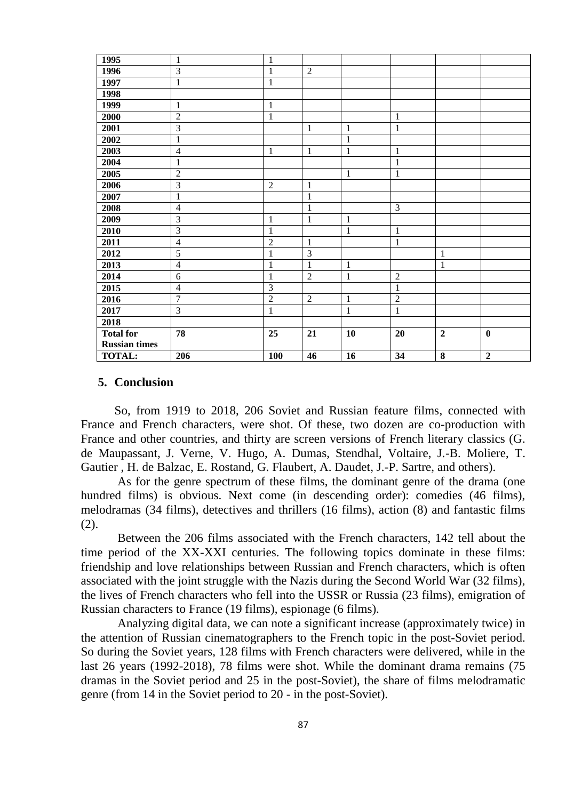| 1995                 | $\mathbf{1}$   | $\mathbf{1}$   |                |              |                |                |                |  |
|----------------------|----------------|----------------|----------------|--------------|----------------|----------------|----------------|--|
| 1996                 | 3              | $\mathbf{1}$   | $\overline{2}$ |              |                |                |                |  |
| 1997                 | $\mathbf{1}$   | $\mathbf{1}$   |                |              |                |                |                |  |
| 1998                 |                |                |                |              |                |                |                |  |
| 1999                 | $\,1\,$        | $\mathbf{1}$   |                |              |                |                |                |  |
| 2000                 | $\overline{c}$ | $\mathbf{1}$   |                |              | $\mathbf{1}$   |                |                |  |
| 2001                 | $\overline{3}$ |                | $\mathbf{1}$   | $\mathbf{1}$ | $\mathbf{1}$   |                |                |  |
| 2002                 | $\mathbf{1}$   |                |                | $\mathbf{1}$ |                |                |                |  |
| 2003                 | $\overline{4}$ | $\mathbf{1}$   | $\mathbf 1$    | $\mathbf{1}$ | $\mathbf{1}$   |                |                |  |
| 2004                 | $\mathbf{1}$   |                |                |              | $\mathbf{1}$   |                |                |  |
| 2005                 | $\overline{2}$ |                |                | $\mathbf{1}$ | $\mathbf{1}$   |                |                |  |
| 2006                 | 3              | $\overline{2}$ | $\mathbf{1}$   |              |                |                |                |  |
| 2007                 | $\mathbf{1}$   |                | $\mathbf{1}$   |              |                |                |                |  |
| 2008                 | $\overline{4}$ |                | $\mathbf{1}$   |              | $\mathfrak{Z}$ |                |                |  |
| 2009                 | 3              | $\mathbf{1}$   | $\mathbf{1}$   | $\mathbf{1}$ |                |                |                |  |
| 2010                 | 3              | $\mathbf{1}$   |                | $\mathbf{1}$ | $\mathbf{1}$   |                |                |  |
| 2011                 | $\overline{4}$ | $\sqrt{2}$     | $\mathbf{1}$   |              | 1              |                |                |  |
| 2012                 | 5              | $\mathbf{1}$   | 3              |              |                | $\mathbf{1}$   |                |  |
| 2013                 | $\overline{4}$ | $\mathbf{1}$   | 1              | $\mathbf{1}$ |                | $\mathbf{1}$   |                |  |
| 2014                 | 6              | $\mathbf{1}$   | $\overline{2}$ | $\mathbf{1}$ | $\overline{2}$ |                |                |  |
| 2015                 | $\overline{4}$ | 3              |                |              | $\mathbf{1}$   |                |                |  |
| 2016                 | $\overline{7}$ | $\overline{2}$ | $\overline{2}$ | $\mathbf{1}$ | $\overline{2}$ |                |                |  |
| 2017                 | 3              | $\mathbf{1}$   |                | $\mathbf{1}$ | $\mathbf 1$    |                |                |  |
| 2018                 |                |                |                |              |                |                |                |  |
| <b>Total for</b>     | 78             | 25             | 21             | 10           | 20             | $\overline{2}$ | $\bf{0}$       |  |
| <b>Russian times</b> |                |                |                |              |                |                |                |  |
| <b>TOTAL:</b>        | 206            | 100            | 46             | 16           | 34             | 8              | $\overline{2}$ |  |

## **5. Conclusion**

So, from 1919 to 2018, 206 Soviet and Russian feature films, connected with France and French characters, were shot. Of these, two dozen are co-production with France and other countries, and thirty are screen versions of French literary classics (G. de Maupassant, J. Verne, V. Hugo, A. Dumas, Stendhal, Voltaire, J.-B. Moliere, T. Gautier , H. de Balzac, E. Rostand, G. Flaubert, A. Daudet, J.-P. Sartre, and others).

As for the genre spectrum of these films, the dominant genre of the drama (one hundred films) is obvious. Next come (in descending order): comedies (46 films), melodramas (34 films), detectives and thrillers (16 films), action (8) and fantastic films (2).

Between the 206 films associated with the French characters, 142 tell about the time period of the XX-XXI centuries. The following topics dominate in these films: friendship and love relationships between Russian and French characters, which is often associated with the joint struggle with the Nazis during the Second World War (32 films), the lives of French characters who fell into the USSR or Russia (23 films), emigration of Russian characters to France (19 films), espionage (6 films).

Analyzing digital data, we can note a significant increase (approximately twice) in the attention of Russian cinematographers to the French topic in the post-Soviet period. So during the Soviet years, 128 films with French characters were delivered, while in the last 26 years (1992-2018), 78 films were shot. While the dominant drama remains (75 dramas in the Soviet period and 25 in the post-Soviet), the share of films melodramatic genre (from 14 in the Soviet period to 20 - in the post-Soviet).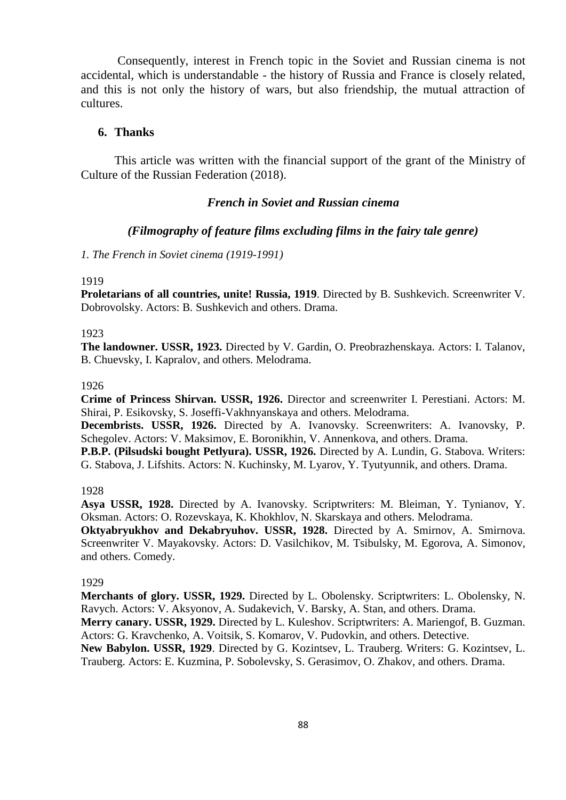Consequently, interest in French topic in the Soviet and Russian cinema is not accidental, which is understandable - the history of Russia and France is closely related, and this is not only the history of wars, but also friendship, the mutual attraction of cultures.

# **6. Thanks**

This article was written with the financial support of the grant of the Ministry of Culture of the Russian Federation (2018).

# *French in Soviet and Russian cinema*

# *(Filmography of feature films excluding films in the fairy tale genre)*

*1. The French in Soviet cinema (1919-1991)*

#### 1919

**Proletarians of all countries, unite! Russia, 1919**. Directed by B. Sushkevich. Screenwriter V. Dobrovolsky. Actors: B. Sushkevich and others. Drama.

#### 1923

**The landowner. USSR, 1923.** Directed by V. Gardin, O. Preobrazhenskaya. Actors: I. Talanov, B. Chuevsky, I. Kapralov, and others. Melodrama.

### 1926

**Crime of Princess Shirvan. USSR, 1926.** Director and screenwriter I. Perestiani. Actors: M. Shirai, P. Esikovsky, S. Joseffi-Vakhnyanskaya and others. Melodrama.

**Decembrists. USSR, 1926.** Directed by A. Ivanovsky. Screenwriters: A. Ivanovsky, P. Schegolev. Actors: V. Maksimov, E. Boronikhin, V. Annenkova, and others. Drama.

**P.B.P. (Pilsudski bought Petlyura). USSR, 1926.** Directed by A. Lundin, G. Stabova. Writers: G. Stabova, J. Lifshits. Actors: N. Kuchinsky, M. Lyarov, Y. Tyutyunnik, and others. Drama.

1928

**Asya USSR, 1928.** Directed by A. Ivanovsky. Scriptwriters: M. Bleiman, Y. Tynianov, Y. Oksman. Actors: O. Rozevskaya, K. Khokhlov, N. Skarskaya and others. Melodrama. **Oktyabryukhov and Dekabryuhov. USSR, 1928.** Directed by A. Smirnov, A. Smirnova.

Screenwriter V. Mayakovsky. Actors: D. Vasilchikov, M. Tsibulsky, M. Egorova, A. Simonov, and others. Comedy.

#### 1929

**Merchants of glory. USSR, 1929.** Directed by L. Obolensky. Scriptwriters: L. Obolensky, N. Ravych. Actors: V. Aksyonov, A. Sudakevich, V. Barsky, A. Stan, and others. Drama. **Merry canary. USSR, 1929.** Directed by L. Kuleshov. Scriptwriters: A. Mariengof, B. Guzman. Actors: G. Kravchenko, A. Voitsik, S. Komarov, V. Pudovkin, and others. Detective. **New Babylon. USSR, 1929**. Directed by G. Kozintsev, L. Trauberg. Writers: G. Kozintsev, L. Trauberg. Actors: E. Kuzmina, P. Sobolevsky, S. Gerasimov, O. Zhakov, and others. Drama.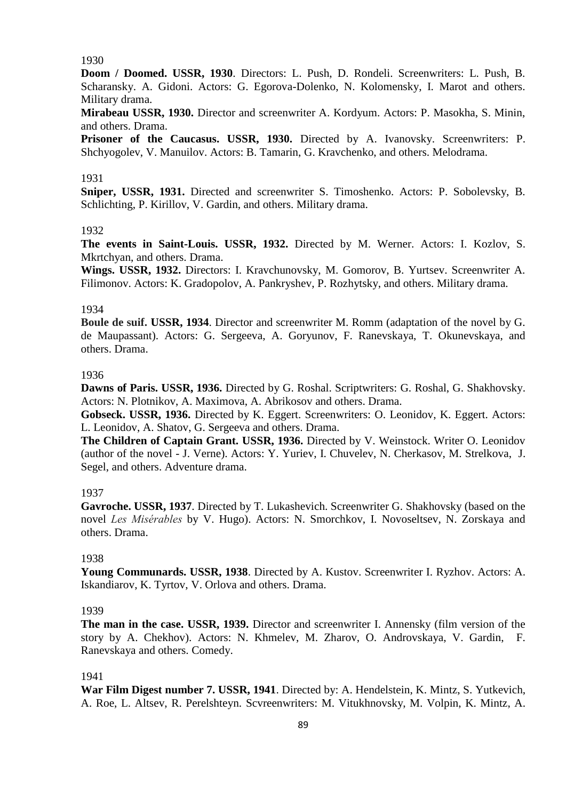# 1930

**Doom / Doomed. USSR, 1930**. Directors: L. Push, D. Rondeli. Screenwriters: L. Push, B. Scharansky. A. Gidoni. Actors: G. Egorova-Dolenko, N. Kolomensky, I. Marot and others. Military drama.

**Mirabeau USSR, 1930.** Director and screenwriter A. Kordyum. Actors: P. Masokha, S. Minin, and others. Drama.

**Prisoner of the Caucasus. USSR, 1930.** Directed by A. Ivanovsky. Screenwriters: P. Shchyogolev, V. Manuilov. Actors: B. Tamarin, G. Kravchenko, and others. Melodrama.

### 1931

**Sniper, USSR, 1931.** Directed and screenwriter S. Timoshenko. Actors: P. Sobolevsky, B. Schlichting, P. Kirillov, V. Gardin, and others. Military drama.

#### 1932

**The events in Saint-Louis. USSR, 1932.** Directed by M. Werner. Actors: I. Kozlov, S. Mkrtchyan, and others. Drama.

**Wings. USSR, 1932.** Directors: I. Kravchunovsky, M. Gomorov, B. Yurtsev. Screenwriter A. Filimonov. Actors: K. Gradopolov, A. Pankryshev, P. Rozhytsky, and others. Military drama.

## 1934

**Boule de suif. USSR, 1934**. Director and screenwriter M. Romm (adaptation of the novel by G. de Maupassant). Actors: G. Sergeeva, A. Goryunov, F. Ranevskaya, T. Okunevskaya, and others. Drama.

#### 1936

**Dawns of Paris. USSR, 1936.** Directed by G. Roshal. Scriptwriters: G. Roshal, G. Shakhovsky. Actors: N. Plotnikov, A. Maximova, A. Abrikosov and others. Drama.

**Gobseck. USSR, 1936.** Directed by K. Eggert. Screenwriters: O. Leonidov, K. Eggert. Actors: L. Leonidov, A. Shatov, G. Sergeeva and others. Drama.

**The Children of Captain Grant. USSR, 1936.** Directed by V. Weinstock. Writer O. Leonidov (author of the novel - J. Verne). Actors: Y. Yuriev, I. Chuvelev, N. Cherkasov, M. Strelkova, J. Segel, and others. Adventure drama.

### 1937

**Gavroche. USSR, 1937**. Directed by T. Lukashevich. Screenwriter G. Shakhovsky (based on the novel *Les Misérables* by V. Hugo). Actors: N. Smorchkov, I. Novoseltsev, N. Zorskaya and others. Drama.

#### 1938

**Young Communards. USSR, 1938**. Directed by A. Kustov. Screenwriter I. Ryzhov. Actors: A. Iskandiarov, K. Tyrtov, V. Orlova and others. Drama.

#### 1939

**The man in the case. USSR, 1939.** Director and screenwriter I. Annensky (film version of the story by A. Chekhov). Actors: N. Khmelev, M. Zharov, O. Androvskaya, V. Gardin, F. Ranevskaya and others. Comedy.

#### 1941

**War Film Digest number 7. USSR, 1941**. Directed by: A. Hendelstein, K. Mintz, S. Yutkevich, A. Roe, L. Altsev, R. Perelshteyn. Scvreenwriters: M. Vitukhnovsky, M. Volpin, K. Mintz, A.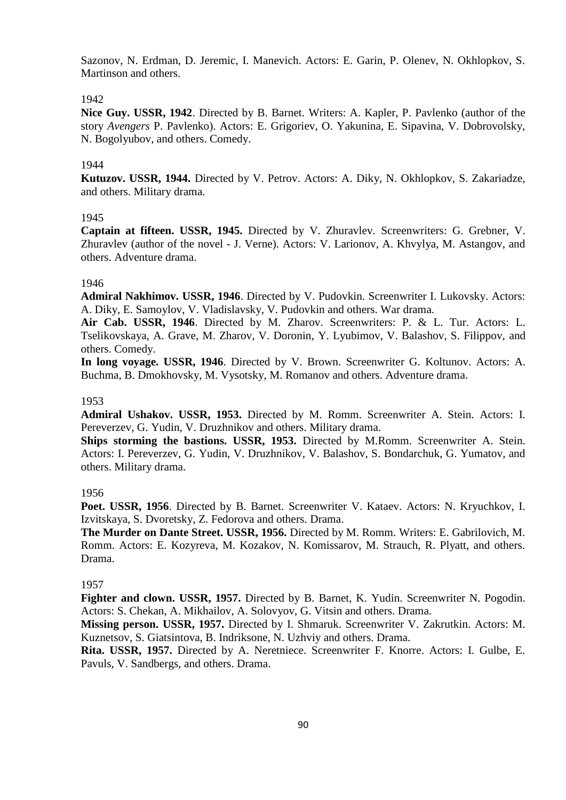Sazonov, N. Erdman, D. Jeremic, I. Manevich. Actors: E. Garin, P. Olenev, N. Okhlopkov, S. Martinson and others.

# 1942

**Nice Guy. USSR, 1942**. Directed by B. Barnet. Writers: A. Kapler, P. Pavlenko (author of the story *Avengers* P. Pavlenko). Actors: E. Grigoriev, O. Yakunina, E. Sipavina, V. Dobrovolsky, N. Bogolyubov, and others. Comedy.

# 1944

**Kutuzov. USSR, 1944.** Directed by V. Petrov. Actors: A. Diky, N. Okhlopkov, S. Zakariadze, and others. Military drama.

# 1945

**Captain at fifteen. USSR, 1945.** Directed by V. Zhuravlev. Screenwriters: G. Grebner, V. Zhuravlev (author of the novel - J. Verne). Actors: V. Larionov, A. Khvylya, M. Astangov, and others. Adventure drama.

# 1946

**Admiral Nakhimov. USSR, 1946**. Directed by V. Pudovkin. Screenwriter I. Lukovsky. Actors: A. Diky, E. Samoylov, V. Vladislavsky, V. Pudovkin and others. War drama.

**Air Cab. USSR, 1946**. Directed by M. Zharov. Screenwriters: P. & L. Tur. Actors: L. Tselikovskaya, A. Grave, M. Zharov, V. Doronin, Y. Lyubimov, V. Balashov, S. Filippov, and others. Comedy.

**In long voyage. USSR, 1946**. Directed by V. Brown. Screenwriter G. Koltunov. Actors: A. Buchma, B. Dmokhovsky, M. Vysotsky, M. Romanov and others. Adventure drama.

# 1953

**Admiral Ushakov. USSR, 1953.** Directed by M. Romm. Screenwriter A. Stein. Actors: I. Pereverzev, G. Yudin, V. Druzhnikov and others. Military drama.

**Ships storming the bastions. USSR, 1953.** Directed by M.Romm. Screenwriter A. Stein. Actors: I. Pereverzev, G. Yudin, V. Druzhnikov, V. Balashov, S. Bondarchuk, G. Yumatov, and others. Military drama.

# 1956

**Poet. USSR, 1956**. Directed by B. Barnet. Screenwriter V. Kataev. Actors: N. Kryuchkov, I. Izvitskaya, S. Dvoretsky, Z. Fedorova and others. Drama.

**The Murder on Dante Street. USSR, 1956.** Directed by M. Romm. Writers: E. Gabrilovich, M. Romm. Actors: E. Kozyreva, M. Kozakov, N. Komissarov, M. Strauch, R. Plyatt, and others. Drama.

# 1957

**Fighter and clown. USSR, 1957.** Directed by B. Barnet, K. Yudin. Screenwriter N. Pogodin. Actors: S. Chekan, A. Mikhailov, A. Solovyov, G. Vitsin and others. Drama.

**Missing person. USSR, 1957.** Directed by I. Shmaruk. Screenwriter V. Zakrutkin. Actors: M. Kuznetsov, S. Giatsintova, B. Indriksone, N. Uzhviy and others. Drama.

**Rita. USSR, 1957.** Directed by A. Neretniece. Screenwriter F. Knorre. Actors: I. Gulbe, E. Pavuls, V. Sandbergs, and others. Drama.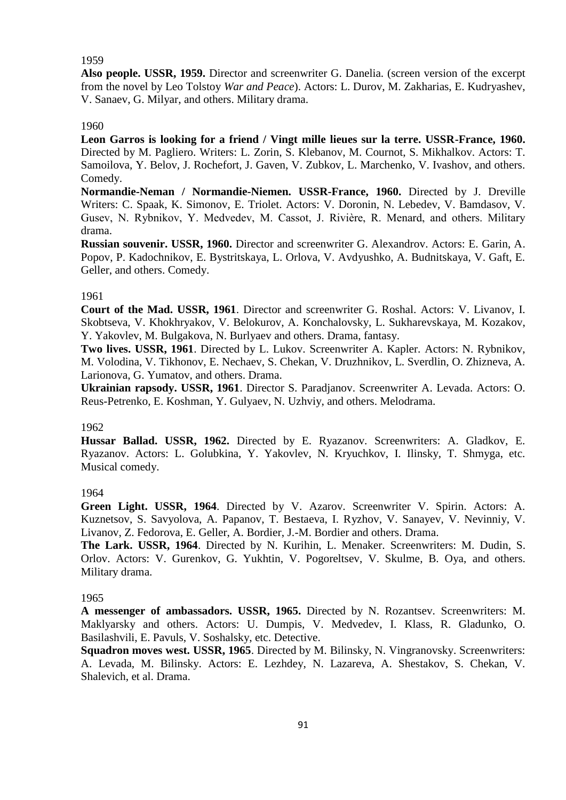## 1959

**Also people. USSR, 1959.** Director and screenwriter G. Danelia. (screen version of the excerpt from the novel by Leo Tolstoy *War and Peace*). Actors: L. Durov, M. Zakharias, E. Kudryashev, V. Sanaev, G. Milyar, and others. Military drama.

### 1960

**Leon Garros is looking for a friend / Vingt mille lieues sur la terre. USSR-France, 1960.** Directed by M. Pagliero. Writers: L. Zorin, S. Klebanov, M. Cournot, S. Mikhalkov. Actors: T. Samoilova, Y. Belov, J. Rochefort, J. Gaven, V. Zubkov, L. Marchenko, V. Ivashov, and others. Comedy.

**Normandie-Neman / Normandie-Niemen. USSR-France, 1960.** Directed by J. Dreville Writers: C. Spaak, K. Simonov, E. Triolet. Actors: V. Doronin, N. Lebedev, V. Bamdasov, V. Gusev, N. Rybnikov, Y. Medvedev, M. Cassot, J. Rivière, R. Menard, and others. Military drama.

**Russian souvenir. USSR, 1960.** Director and screenwriter G. Alexandrov. Actors: E. Garin, A. Popov, P. Kadochnikov, E. Bystritskaya, L. Orlova, V. Avdyushko, A. Budnitskaya, V. Gaft, E. Geller, and others. Comedy.

#### 1961

**Court of the Mad. USSR, 1961**. Director and screenwriter G. Roshal. Actors: V. Livanov, I. Skobtseva, V. Khokhryakov, V. Belokurov, A. Konchalovsky, L. Sukharevskaya, M. Kozakov, Y. Yakovlev, M. Bulgakova, N. Burlyaev and others. Drama, fantasy.

**Two lives. USSR, 1961**. Directed by L. Lukov. Screenwriter A. Kapler. Actors: N. Rybnikov, M. Volodina, V. Tikhonov, E. Nechaev, S. Chekan, V. Druzhnikov, L. Sverdlin, O. Zhizneva, A. Larionova, G. Yumatov, and others. Drama.

**Ukrainian rapsody. USSR, 1961**. Director S. Paradjanov. Screenwriter A. Levada. Actors: O. Reus-Petrenko, E. Koshman, Y. Gulyaev, N. Uzhviy, and others. Melodrama.

#### 1962

**Hussar Ballad. USSR, 1962.** Directed by E. Ryazanov. Screenwriters: A. Gladkov, E. Ryazanov. Actors: L. Golubkina, Y. Yakovlev, N. Kryuchkov, I. Ilinsky, T. Shmyga, etc. Musical comedy.

### 1964

**Green Light. USSR, 1964**. Directed by V. Azarov. Screenwriter V. Spirin. Actors: A. Kuznetsov, S. Savyolova, A. Papanov, T. Bestaeva, I. Ryzhov, V. Sanayev, V. Nevinniy, V. Livanov, Z. Fedorova, E. Geller, A. Bordier, J.-M. Bordier and others. Drama.

**The Lark. USSR, 1964**. Directed by N. Kurihin, L. Menaker. Screenwriters: M. Dudin, S. Orlov. Actors: V. Gurenkov, G. Yukhtin, V. Pogoreltsev, V. Skulme, B. Oya, and others. Military drama.

#### 1965

**A messenger of ambassadors. USSR, 1965.** Directed by N. Rozantsev. Screenwriters: M. Maklyarsky and others. Actors: U. Dumpis, V. Medvedev, I. Klass, R. Gladunko, O. Basilashvili, E. Pavuls, V. Soshalsky, etc. Detective.

**Squadron moves west. USSR, 1965**. Directed by M. Bilinsky, N. Vingranovsky. Screenwriters: A. Levada, M. Bilinsky. Actors: E. Lezhdey, N. Lazareva, A. Shestakov, S. Chekan, V. Shalevich, et al. Drama.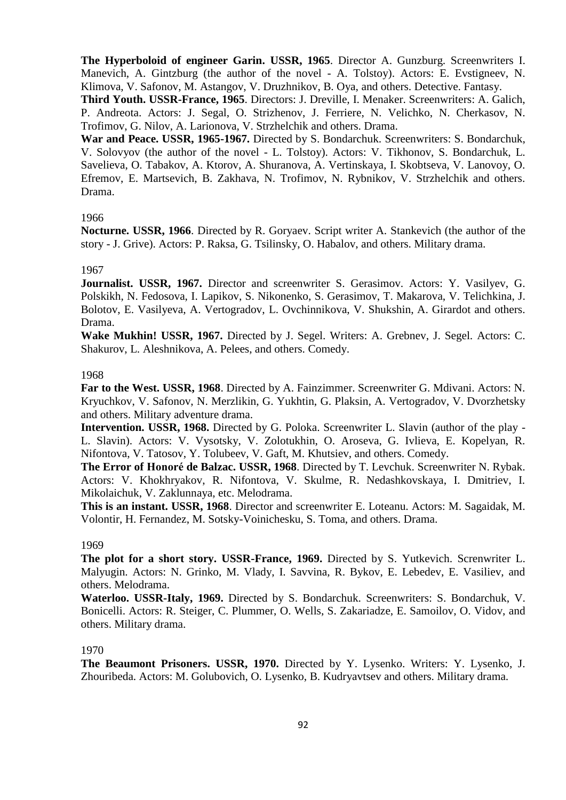**The Hyperboloid of engineer Garin. USSR, 1965**. Director A. Gunzburg. Screenwriters I. Manevich, A. Gintzburg (the author of the novel - A. Tolstoy). Actors: E. Evstigneev, N. Klimova, V. Safonov, M. Astangov, V. Druzhnikov, B. Oya, and others. Detective. Fantasy.

**Third Youth. USSR-France, 1965**. Directors: J. Dreville, I. Menaker. Screenwriters: A. Galich, P. Andreota. Actors: J. Segal, O. Strizhenov, J. Ferriere, N. Velichko, N. Cherkasov, N. Trofimov, G. Nilov, A. Larionova, V. Strzhelchik and others. Drama.

**War and Peace. USSR, 1965-1967.** Directed by S. Bondarchuk. Screenwriters: S. Bondarchuk, V. Solovyov (the author of the novel - L. Tolstoy). Actors: V. Tikhonov, S. Bondarchuk, L. Savelieva, O. Tabakov, A. Ktorov, A. Shuranova, A. Vertinskaya, I. Skobtseva, V. Lanovoy, O. Efremov, E. Martsevich, B. Zakhava, N. Trofimov, N. Rybnikov, V. Strzhelchik and others. Drama.

# 1966

**Nocturne. USSR, 1966**. Directed by R. Goryaev. Script writer A. Stankevich (the author of the story - J. Grive). Actors: P. Raksa, G. Tsilinsky, O. Habalov, and others. Military drama.

## 1967

**Journalist. USSR, 1967.** Director and screenwriter S. Gerasimov. Actors: Y. Vasilyev, G. Polskikh, N. Fedosova, I. Lapikov, S. Nikonenko, S. Gerasimov, T. Makarova, V. Telichkina, J. Bolotov, E. Vasilyeva, A. Vertogradov, L. Ovchinnikova, V. Shukshin, A. Girardot and others. Drama.

**Wake Mukhin! USSR, 1967.** Directed by J. Segel. Writers: A. Grebnev, J. Segel. Actors: C. Shakurov, L. Aleshnikova, A. Pelees, and others. Comedy.

## 1968

**Far to the West. USSR, 1968**. Directed by A. Fainzimmer. Screenwriter G. Mdivani. Actors: N. Kryuchkov, V. Safonov, N. Merzlikin, G. Yukhtin, G. Plaksin, A. Vertogradov, V. Dvorzhetsky and others. Military adventure drama.

**Intervention. USSR, 1968.** Directed by G. Poloka. Screenwriter L. Slavin (author of the play - L. Slavin). Actors: V. Vysotsky, V. Zolotukhin, O. Aroseva, G. Ivlieva, E. Kopelyan, R. Nifontova, V. Tatosov, Y. Tolubeev, V. Gaft, M. Khutsiev, and others. Comedy.

**The Error of Honoré de Balzac. USSR, 1968**. Directed by T. Levchuk. Screenwriter N. Rybak. Actors: V. Khokhryakov, R. Nifontova, V. Skulme, R. Nedashkovskaya, I. Dmitriev, I. Mikolaichuk, V. Zaklunnaya, etc. Melodrama.

**This is an instant. USSR, 1968**. Director and screenwriter E. Loteanu. Actors: M. Sagaidak, M. Volontir, H. Fernandez, M. Sotsky-Voinichesku, S. Toma, and others. Drama.

## 1969

**The plot for a short story. USSR-France, 1969.** Directed by S. Yutkevich. Screnwriter L. Malyugin. Actors: N. Grinko, M. Vlady, I. Savvina, R. Bykov, E. Lebedev, E. Vasiliev, and others. Melodrama.

**Waterloo. USSR-Italy, 1969.** Directed by S. Bondarchuk. Screenwriters: S. Bondarchuk, V. Bonicelli. Actors: R. Steiger, C. Plummer, O. Wells, S. Zakariadze, E. Samoilov, O. Vidov, and others. Military drama.

# 1970

**The Beaumont Prisoners. USSR, 1970.** Directed by Y. Lysenko. Writers: Y. Lysenko, J. Zhouribeda. Actors: M. Golubovich, O. Lysenko, B. Kudryavtsev and others. Military drama.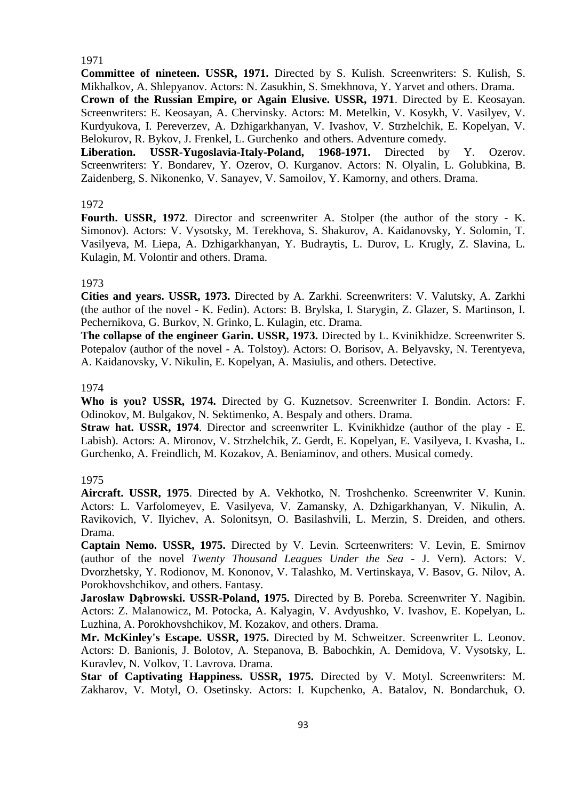# 1971

**Committee of nineteen. USSR, 1971.** Directed by S. Kulish. Screenwriters: S. Kulish, S. Mikhalkov, A. Shlepyanov. Actors: N. Zasukhin, S. Smekhnova, Y. Yarvet and others. Drama.

**Crown of the Russian Empire, or Again Elusive. USSR, 1971**. Directed by E. Keosayan. Screenwriters: E. Keosayan, A. Chervinsky. Actors: M. Metelkin, V. Kosykh, V. Vasilyev, V. Kurdyukova, I. Pereverzev, A. Dzhigarkhanyan, V. Ivashov, V. Strzhelchik, E. Kopelyan, V. Belokurov, R. Bykov, J. Frenkel, L. Gurchenko and others. Adventure comedy.

**Liberation. USSR-Yugoslavia-Italy-Poland, 1968-1971.** Directed by Y. Ozerov. Screenwriters: Y. Bondarev, Y. Ozerov, O. Kurganov. Actors: N. Olyalin, L. Golubkina, B. Zaidenberg, S. Nikonenko, V. Sanayev, V. Samoilov, Y. Kamorny, and others. Drama.

## 1972

**Fourth. USSR, 1972**. Director and screenwriter A. Stolper (the author of the story - K. Simonov). Actors: V. Vysotsky, M. Terekhova, S. Shakurov, A. Kaidanovsky, Y. Solomin, T. Vasilyeva, M. Liepa, A. Dzhigarkhanyan, Y. Budraytis, L. Durov, L. Krugly, Z. Slavina, L. Kulagin, M. Volontir and others. Drama.

# 1973

**Cities and years. USSR, 1973.** Directed by A. Zarkhi. Screenwriters: V. Valutsky, A. Zarkhi (the author of the novel - K. Fedin). Actors: B. Brylska, I. Starygin, Z. Glazer, S. Martinson, I. Pechernikova, G. Burkov, N. Grinko, L. Kulagin, etc. Drama.

**The collapse of the engineer Garin. USSR, 1973.** Directed by L. Kvinikhidze. Screenwriter S. Potepalov (author of the novel - A. Tolstoy). Actors: O. Borisov, A. Belyavsky, N. Terentyeva, A. Kaidanovsky, V. Nikulin, E. Kopelyan, A. Masiulis, and others. Detective.

## 1974

**Who is you? USSR, 1974.** Directed by G. Kuznetsov. Screenwriter I. Bondin. Actors: F. Odinokov, M. Bulgakov, N. Sektimenko, A. Bespaly and others. Drama.

**Straw hat. USSR, 1974**. Director and screenwriter L. Kvinikhidze (author of the play - E. Labish). Actors: A. Mironov, V. Strzhelchik, Z. Gerdt, E. Kopelyan, E. Vasilyeva, I. Kvasha, L. Gurchenko, A. Freindlich, M. Kozakov, A. Beniaminov, and others. Musical comedy.

### 1975

**Aircraft. USSR, 1975**. Directed by A. Vekhotko, N. Troshchenko. Screenwriter V. Kunin. Actors: L. Varfolomeyev, E. Vasilyeva, V. Zamansky, A. Dzhigarkhanyan, V. Nikulin, A. Ravikovich, V. Ilyichev, A. Solonitsyn, O. Basilashvili, L. Merzin, S. Dreiden, and others. Drama.

**Captain Nemo. USSR, 1975.** Directed by V. Levin. Scrteenwriters: V. Levin, E. Smirnov (author of the novel *Twenty Thousand Leagues Under the Sea* - J. Vern). Actors: V. Dvorzhetsky, Y. Rodionov, M. Kononov, V. Talashko, M. Vertinskaya, V. Basov, G. Nilov, A. Porokhovshchikov, and others. Fantasy.

**Jarosław Dąbrowski. USSR-Poland, 1975.** Directed by B. Poreba. Screenwriter Y. Nagibin. Actors: Z. Malanowicz, M. Potocka, A. Kalyagin, V. Avdyushko, V. Ivashov, E. Kopelyan, L. Luzhina, A. Porokhovshchikov, M. Kozakov, and others. Drama.

**Mr. McKinley's Escape. USSR, 1975.** Directed by M. Schweitzer. Screenwriter L. Leonov. Actors: D. Banionis, J. Bolotov, A. Stepanova, B. Babochkin, A. Demidova, V. Vysotsky, L. Kuravlev, N. Volkov, T. Lavrova. Drama.

**Star of Captivating Happiness. USSR, 1975.** Directed by V. Motyl. Screenwriters: M. Zakharov, V. Motyl, O. Osetinsky. Actors: I. Kupchenko, A. Batalov, N. Bondarchuk, O.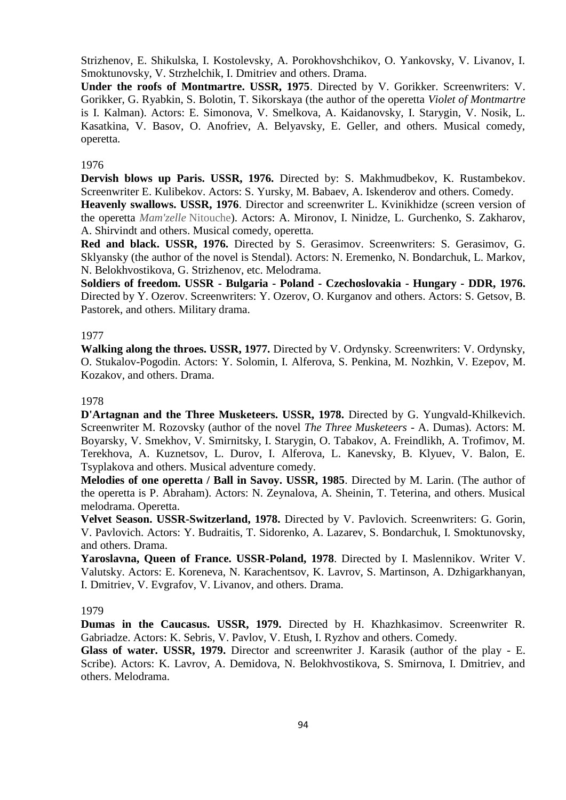Strizhenov, E. Shikulska, I. Kostolevsky, A. Porokhovshchikov, O. Yankovsky, V. Livanov, I. Smoktunovsky, V. Strzhelchik, I. Dmitriev and others. Drama.

**Under the roofs of Montmartre. USSR, 1975**. Directed by V. Gorikker. Screenwriters: V. Gorikker, G. Ryabkin, S. Bolotin, T. Sikorskaya (the author of the operetta *Violet of Montmartre* is I. Kalman). Actors: E. Simonova, V. Smelkova, A. Kaidanovsky, I. Starygin, V. Nosik, L. Kasatkina, V. Basov, O. Anofriev, A. Belyavsky, E. Geller, and others. Musical comedy, operetta.

#### 1976

**Dervish blows up Paris. USSR, 1976.** Directed by: S. Makhmudbekov, K. Rustambekov. Screenwriter E. Kulibekov. Actors: S. Yursky, M. Babaev, A. Iskenderov and others. Comedy.

**Heavenly swallows. USSR, 1976**. Director and screenwriter L. Kvinikhidze (screen version of the operetta *Mam'zelle* Nitouche). Actors: A. Mironov, I. Ninidze, L. Gurchenko, S. Zakharov, A. Shirvindt and others. Musical comedy, operetta.

**Red and black. USSR, 1976.** Directed by S. Gerasimov. Screenwriters: S. Gerasimov, G. Sklyansky (the author of the novel is Stendal). Actors: N. Eremenko, N. Bondarchuk, L. Markov, N. Belokhvostikova, G. Strizhenov, etc. Melodrama.

**Soldiers of freedom. USSR - Bulgaria - Poland - Czechoslovakia - Hungary - DDR, 1976.** Directed by Y. Ozerov. Screenwriters: Y. Ozerov, O. Kurganov and others. Actors: S. Getsov, B. Pastorek, and others. Military drama.

#### 1977

**Walking along the throes. USSR, 1977.** Directed by V. Ordynsky. Screenwriters: V. Ordynsky, O. Stukalov-Pogodin. Actors: Y. Solomin, I. Alferova, S. Penkina, M. Nozhkin, V. Ezepov, M. Kozakov, and others. Drama.

### 1978

**D'Artagnan and the Three Musketeers. USSR, 1978.** Directed by G. Yungvald-Khilkevich. Screenwriter M. Rozovsky (author of the novel *The Three Musketeers* - A. Dumas). Actors: M. Boyarsky, V. Smekhov, V. Smirnitsky, I. Starygin, O. Tabakov, A. Freindlikh, A. Trofimov, M. Terekhova, A. Kuznetsov, L. Durov, I. Alferova, L. Kanevsky, B. Klyuev, V. Balon, E. Tsyplakova and others. Musical adventure comedy.

**Melodies of one operetta / Ball in Savoy. USSR, 1985**. Directed by M. Larin. (The author of the operetta is P. Abraham). Actors: N. Zeynalova, A. Sheinin, T. Teterina, and others. Musical melodrama. Operetta.

**Velvet Season. USSR-Switzerland, 1978.** Directed by V. Pavlovich. Screenwriters: G. Gorin, V. Pavlovich. Actors: Y. Budraitis, T. Sidorenko, A. Lazarev, S. Bondarchuk, I. Smoktunovsky, and others. Drama.

**Yaroslavna, Queen of France. USSR-Poland, 1978**. Directed by I. Maslennikov. Writer V. Valutsky. Actors: E. Koreneva, N. Karachentsov, K. Lavrov, S. Martinson, A. Dzhigarkhanyan, I. Dmitriev, V. Evgrafov, V. Livanov, and others. Drama.

#### 1979

**Dumas in the Caucasus. USSR, 1979.** Directed by H. Khazhkasimov. Screenwriter R. Gabriadze. Actors: K. Sebris, V. Pavlov, V. Etush, I. Ryzhov and others. Comedy.

**Glass of water. USSR, 1979.** Director and screenwriter J. Karasik (author of the play - E. Scribe). Actors: K. Lavrov, A. Demidova, N. Belokhvostikova, S. Smirnova, I. Dmitriev, and others. Melodrama.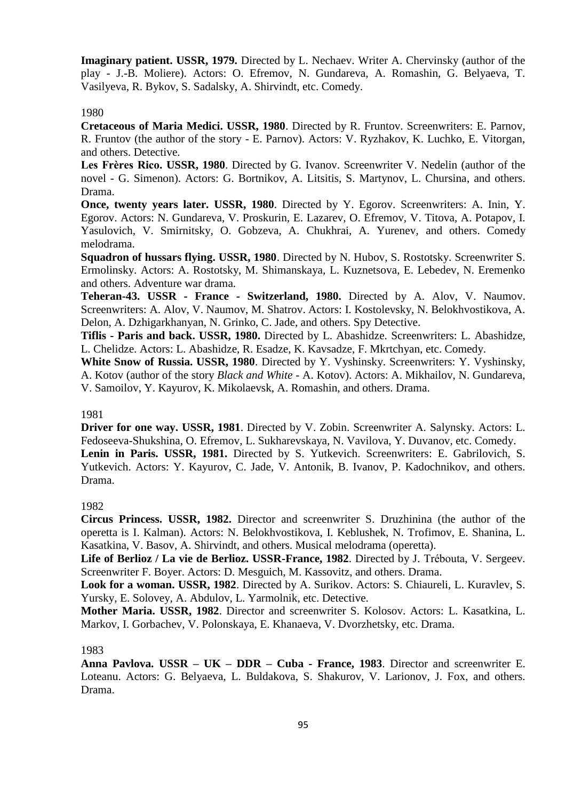**Imaginary patient. USSR, 1979.** Directed by L. Nechaev. Writer A. Chervinsky (author of the play - J.-B. Moliere). Actors: O. Efremov, N. Gundareva, A. Romashin, G. Belyaeva, T. Vasilyeva, R. Bykov, S. Sadalsky, A. Shirvindt, etc. Comedy.

## 1980

**Cretaceous of Maria Medici. USSR, 1980**. Directed by R. Fruntov. Screenwriters: E. Parnov, R. Fruntov (the author of the story - E. Parnov). Actors: V. Ryzhakov, K. Luchko, E. Vitorgan, and others. Detective.

**Les Frères Rico. USSR, 1980**. Directed by G. Ivanov. Screenwriter V. Nedelin (author of the novel - G. Simenon). Actors: G. Bortnikov, A. Litsitis, S. Martynov, L. Chursina, and others. Drama.

**Once, twenty years later. USSR, 1980**. Directed by Y. Egorov. Screenwriters: A. Inin. Y. Egorov. Actors: N. Gundareva, V. Proskurin, E. Lazarev, O. Efremov, V. Titova, A. Potapov, I. Yasulovich, V. Smirnitsky, O. Gobzeva, A. Chukhrai, A. Yurenev, and others. Comedy melodrama.

**Squadron of hussars flying. USSR, 1980**. Directed by N. Hubov, S. Rostotsky. Screenwriter S. Ermolinsky. Actors: A. Rostotsky, M. Shimanskaya, L. Kuznetsova, E. Lebedev, N. Eremenko and others. Adventure war drama.

**Teheran-43. USSR - France - Switzerland, 1980.** Directed by A. Alov, V. Naumov. Screenwriters: A. Alov, V. Naumov, M. Shatrov. Actors: I. Kostolevsky, N. Belokhvostikova, A. Delon, A. Dzhigarkhanyan, N. Grinko, C. Jade, and others. Spy Detective.

**Tiflis - Paris and back. USSR, 1980.** Directed by L. Abashidze. Screenwriters: L. Abashidze, L. Chelidze. Actors: L. Abashidze, R. Esadze, K. Kavsadze, F. Mkrtchyan, etc. Comedy.

**White Snow of Russia. USSR, 1980**. Directed by Y. Vyshinsky. Screenwriters: Y. Vyshinsky, A. Kotov (author of the story *Black and White* - A. Kotov). Actors: A. Mikhailov, N. Gundareva, V. Samoilov, Y. Kayurov, K. Mikolaevsk, A. Romashin, and others. Drama.

### 1981

**Driver for one way. USSR, 1981**. Directed by V. Zobin. Screenwriter A. Salynsky. Actors: L. Fedoseeva-Shukshina, O. Efremov, L. Sukharevskaya, N. Vavilova, Y. Duvanov, etc. Comedy. **Lenin in Paris. USSR, 1981.** Directed by S. Yutkevich. Screenwriters: E. Gabrilovich, S. Yutkevich. Actors: Y. Kayurov, C. Jade, V. Antonik, B. Ivanov, P. Kadochnikov, and others. Drama.

# 1982

**Circus Princess. USSR, 1982.** Director and screenwriter S. Druzhinina (the author of the operetta is I. Kalman). Actors: N. Belokhvostikova, I. Keblushek, N. Trofimov, E. Shanina, L. Kasatkina, V. Basov, A. Shirvindt, and others. Musical melodrama (operetta).

**Life of Berlioz / La vie de Berlioz. USSR-France, 1982**. Directed by J. Trébouta, V. Sergeev. Screenwriter F. Boyer. Actors: D. Mesguich, M. Kassovitz, and others. Drama.

**Look for a woman. USSR, 1982**. Directed by A. Surikov. Actors: S. Chiaureli, L. Kuravlev, S. Yursky, E. Solovey, A. Abdulov, L. Yarmolnik, etc. Detective.

**Mother Maria. USSR, 1982**. Director and screenwriter S. Kolosov. Actors: L. Kasatkina, L. Markov, I. Gorbachev, V. Polonskaya, E. Khanaeva, V. Dvorzhetsky, etc. Drama.

# 1983

**Anna Pavlova. USSR – UK – DDR – Cuba - France, 1983**. Director and screenwriter E. Loteanu. Actors: G. Belyaeva, L. Buldakova, S. Shakurov, V. Larionov, J. Fox, and others. Drama.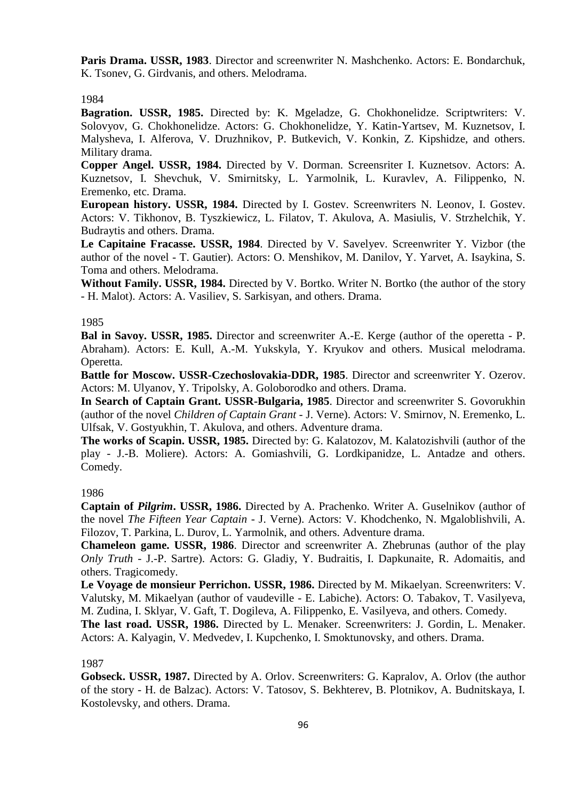**Paris Drama. USSR, 1983**. Director and screenwriter N. Mashchenko. Actors: E. Bondarchuk, K. Tsonev, G. Girdvanis, and others. Melodrama.

### 1984

**Bagration. USSR, 1985.** Directed by: K. Mgeladze, G. Chokhonelidze. Scriptwriters: V. Solovyov, G. Chokhonelidze. Actors: G. Chokhonelidze, Y. Katin-Yartsev, M. Kuznetsov, I. Malysheva, I. Alferova, V. Druzhnikov, P. Butkevich, V. Konkin, Z. Kipshidze, and others. Military drama.

**Copper Angel. USSR, 1984.** Directed by V. Dorman. Screensriter I. Kuznetsov. Actors: A. Kuznetsov, I. Shevchuk, V. Smirnitsky, L. Yarmolnik, L. Kuravlev, A. Filippenko, N. Eremenko, etc. Drama.

**European history. USSR, 1984.** Directed by I. Gostev. Screenwriters N. Leonov, I. Gostev. Actors: V. Tikhonov, B. Tyszkiewicz, L. Filatov, T. Akulova, A. Masiulis, V. Strzhelchik, Y. Budraytis and others. Drama.

**Le Capitaine Fracasse. USSR, 1984**. Directed by V. Savelyev. Screenwriter Y. Vizbor (the author of the novel - T. Gautier). Actors: O. Menshikov, M. Danilov, Y. Yarvet, A. Isaykina, S. Toma and others. Melodrama.

**Without Family. USSR, 1984.** Directed by V. Bortko. Writer N. Bortko (the author of the story - H. Malot). Actors: A. Vasiliev, S. Sarkisyan, and others. Drama.

#### 1985

**Bal in Savoy. USSR, 1985.** Director and screenwriter A.-E. Kerge (author of the operetta - P. Abraham). Actors: E. Kull, A.-M. Yukskyla, Y. Kryukov and others. Musical melodrama. Operetta.

**Battle for Moscow. USSR-Czechoslovakia-DDR, 1985**. Director and screenwriter Y. Ozerov. Actors: M. Ulyanov, Y. Tripolsky, A. Goloborodko and others. Drama.

**In Search of Captain Grant. USSR-Bulgaria, 1985**. Director and screenwriter S. Govorukhin (author of the novel *Children of Captain Grant* - J. Verne). Actors: V. Smirnov, N. Eremenko, L. Ulfsak, V. Gostyukhin, T. Akulova, and others. Adventure drama.

**The works of Scapin. USSR, 1985.** Directed by: G. Kalatozov, M. Kalatozishvili (author of the play - J.-B. Moliere). Actors: A. Gomiashvili, G. Lordkipanidze, L. Antadze and others. Comedy.

## 1986

**Captain of** *Pilgrim***. USSR, 1986.** Directed by A. Prachenko. Writer A. Guselnikov (author of the novel *The Fifteen Year Captain* - J. Verne). Actors: V. Khodchenko, N. Mgaloblishvili, A. Filozov, T. Parkina, L. Durov, L. Yarmolnik, and others. Adventure drama.

**Chameleon game. USSR, 1986**. Director and screenwriter A. Zhebrunas (author of the play *Only Truth* - J.-P. Sartre). Actors: G. Gladiy, Y. Budraitis, I. Dapkunaite, R. Adomaitis, and others. Tragicomedy.

**Le Voyage de monsieur Perrichon. USSR, 1986.** Directed by M. Mikaelyan. Screenwriters: V. Valutsky, M. Mikaelyan (author of vaudeville - E. Labiche). Actors: O. Tabakov, T. Vasilyeva, M. Zudina, I. Sklyar, V. Gaft, T. Dogileva, A. Filippenko, E. Vasilyeva, and others. Comedy.

**The last road. USSR, 1986.** Directed by L. Menaker. Screenwriters: J. Gordin, L. Menaker. Actors: A. Kalyagin, V. Medvedev, I. Kupchenko, I. Smoktunovsky, and others. Drama.

#### 1987

**Gobseck. USSR, 1987.** Directed by A. Orlov. Screenwriters: G. Kapralov, A. Orlov (the author of the story - H. de Balzac). Actors: V. Tatosov, S. Bekhterev, B. Plotnikov, A. Budnitskaya, I. Kostolevsky, and others. Drama.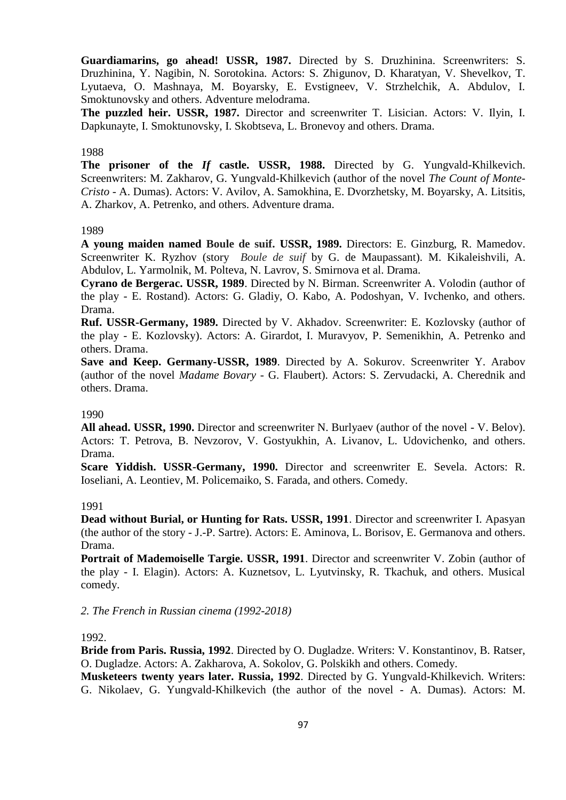**Guardiamarins, go ahead! USSR, 1987.** Directed by S. Druzhinina. Screenwriters: S. Druzhinina, Y. Nagibin, N. Sorotokina. Actors: S. Zhigunov, D. Kharatyan, V. Shevelkov, T. Lyutaeva, O. Mashnaya, M. Boyarsky, E. Evstigneev, V. Strzhelchik, A. Abdulov, I. Smoktunovsky and others. Adventure melodrama.

**The puzzled heir. USSR, 1987.** Director and screenwriter T. Lisician. Actors: V. Ilyin, I. Dapkunayte, I. Smoktunovsky, I. Skobtseva, L. Bronevoy and others. Drama.

#### 1988

**The prisoner of the** *If* **castle. USSR, 1988.** Directed by G. Yungvald-Khilkevich. Screenwriters: M. Zakharov, G. Yungvald-Khilkevich (author of the novel *The Count of Monte-Cristo -* A. Dumas). Actors: V. Avilov, A. Samokhina, E. Dvorzhetsky, M. Boyarsky, A. Litsitis, A. Zharkov, A. Petrenko, and others. Adventure drama.

#### 1989

**A young maiden named Boule de suif. USSR, 1989.** Directors: E. Ginzburg, R. Mamedov. Screenwriter K. Ryzhov (story *Boule de suif* by G. de Maupassant). M. Kikaleishvili, A. Abdulov, L. Yarmolnik, M. Polteva, N. Lavrov, S. Smirnova et al. Drama.

**Cyrano de Bergerac. USSR, 1989**. Directed by N. Birman. Screenwriter A. Volodin (author of the play - E. Rostand). Actors: G. Gladiy, O. Kabo, A. Podoshyan, V. Ivchenko, and others. Drama.

**Ruf. USSR-Germany, 1989.** Directed by V. Akhadov. Screenwriter: E. Kozlovsky (author of the play - E. Kozlovsky). Actors: A. Girardot, I. Muravyov, P. Semenikhin, A. Petrenko and others. Drama.

**Save and Keep. Germany-USSR, 1989**. Directed by A. Sokurov. Screenwriter Y. Arabov (author of the novel *Madame Bovary* - G. Flaubert). Actors: S. Zervudacki, A. Cherednik and others. Drama.

#### 1990

**All ahead. USSR, 1990.** Director and screenwriter N. Burlyaev (author of the novel - V. Belov). Actors: T. Petrova, B. Nevzorov, V. Gostyukhin, A. Livanov, L. Udovichenko, and others. Drama.

**Scare Yiddish. USSR-Germany, 1990.** Director and screenwriter E. Sevela. Actors: R. Ioseliani, A. Leontiev, M. Policemaiko, S. Farada, and others. Comedy.

### 1991

**Dead without Burial, or Hunting for Rats. USSR, 1991**. Director and screenwriter I. Apasyan (the author of the story - J.-P. Sartre). Actors: E. Aminova, L. Borisov, E. Germanova and others. Drama.

**Portrait of Mademoiselle Targie. USSR, 1991**. Director and screenwriter V. Zobin (author of the play - I. Elagin). Actors: A. Kuznetsov, L. Lyutvinsky, R. Tkachuk, and others. Musical comedy.

*2. The French in Russian cinema (1992-2018)*

#### 1992.

**Bride from Paris. Russia, 1992**. Directed by O. Dugladze. Writers: V. Konstantinov, B. Ratser, O. Dugladze. Actors: A. Zakharova, A. Sokolov, G. Polskikh and others. Comedy.

**Musketeers twenty years later. Russia, 1992**. Directed by G. Yungvald-Khilkevich. Writers: G. Nikolaev, G. Yungvald-Khilkevich (the author of the novel - A. Dumas). Actors: M.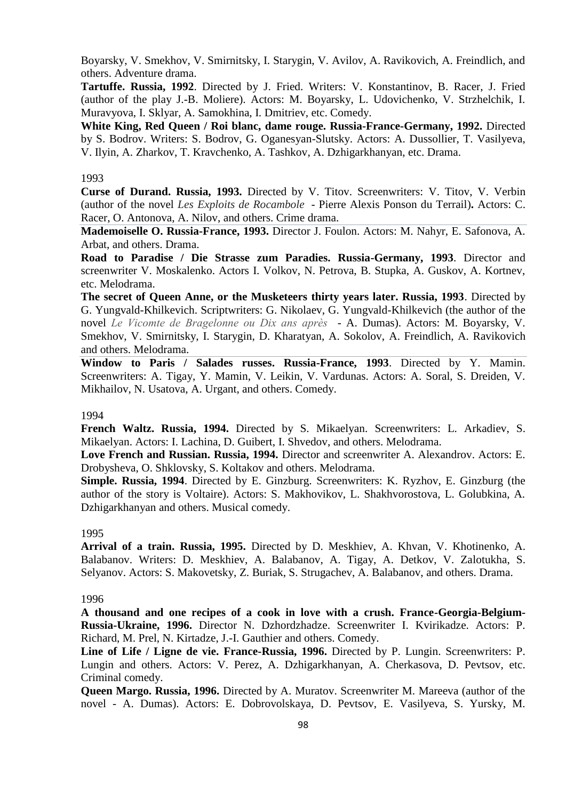Boyarsky, V. Smekhov, V. Smirnitsky, I. Starygin, V. Avilov, A. Ravikovich, A. Freindlich, and others. Adventure drama.

**Tartuffe. Russia, 1992**. Directed by J. Fried. Writers: V. Konstantinov, B. Racer, J. Fried (author of the play J.-B. Moliere). Actors: M. Boyarsky, L. Udovichenko, V. Strzhelchik, I. Muravyova, I. Sklyar, A. Samokhina, I. Dmitriev, etc. Comedy.

**White King, Red Queen / Roi blanc, dame rouge. Russia-France-Germany, 1992.** Directed by S. Bodrov. Writers: S. Bodrov, G. Oganesyan-Slutsky. Actors: A. Dussollier, T. Vasilyeva, V. Ilyin, A. Zharkov, T. Kravchenko, A. Tashkov, A. Dzhigarkhanyan, etc. Drama.

### 1993

**Curse of Durand. Russia, 1993.** Directed by V. Titov. Screenwriters: V. Titov, V. Verbin (author of the novel *Les Exploits de Rocambole* - Pierre Alexis Ponson du Terrail)**.** Actors: C. Racer, O. Antonova, A. Nilov, and others. Crime drama.

**Mademoiselle O. Russia-France, 1993.** Director J. Foulon. Actors: M. Nahyr, E. Safonova, A. Arbat, and others. Drama.

**Road to Paradise / Die Strasse zum Paradies. Russia-Germany, 1993**. Director and screenwriter V. Moskalenko. Actors I. Volkov, N. Petrova, B. Stupka, A. Guskov, A. Kortnev, etc. Melodrama.

**The secret of Queen Anne, or the Musketeers thirty years later. Russia, 1993**. Directed by G. Yungvald-Khilkevich. Scriptwriters: G. Nikolaev, G. Yungvald-Khilkevich (the author of the novel *Le Vicomte de Bragelonne ou Dix ans après* - A. Dumas). Actors: M. Boyarsky, V. Smekhov, V. Smirnitsky, I. Starygin, D. Kharatyan, A. Sokolov, A. Freindlich, A. Ravikovich and others. Melodrama.

**Window to Paris / Salades russes. Russia-France, 1993**. Directed by Y. Mamin. Screenwriters: A. Tigay, Y. Mamin, V. Leikin, V. Vardunas. Actors: A. Soral, S. Dreiden, V. Mikhailov, N. Usatova, A. Urgant, and others. Comedy.

## 1994

**French Waltz. Russia, 1994.** Directed by S. Mikaelyan. Screenwriters: L. Arkadiev, S. Mikaelyan. Actors: I. Lachina, D. Guibert, I. Shvedov, and others. Melodrama.

**Love French and Russian. Russia, 1994.** Director and screenwriter A. Alexandrov. Actors: E. Drobysheva, O. Shklovsky, S. Koltakov and others. Melodrama.

**Simple. Russia, 1994**. Directed by E. Ginzburg. Screenwriters: K. Ryzhov, E. Ginzburg (the author of the story is Voltaire). Actors: S. Makhovikov, L. Shakhvorostova, L. Golubkina, A. Dzhigarkhanyan and others. Musical comedy.

#### 1995

**Arrival of a train. Russia, 1995.** Directed by D. Meskhiev, A. Khvan, V. Khotinenko, A. Balabanov. Writers: D. Meskhiev, A. Balabanov, A. Tigay, A. Detkov, V. Zalotukha, S. Selyanov. Actors: S. Makovetsky, Z. Buriak, S. Strugachev, A. Balabanov, and others. Drama.

### 1996

**A thousand and one recipes of a cook in love with a crush. France-Georgia-Belgium-Russia-Ukraine, 1996.** Director N. Dzhordzhadze. Screenwriter I. Kvirikadze. Actors: P. Richard, M. Prel, N. Kirtadze, J.-I. Gauthier and others. Comedy.

**Line of Life / Ligne de vie. France-Russia, 1996.** Directed by P. Lungin. Screenwriters: P. Lungin and others. Actors: V. Perez, A. Dzhigarkhanyan, A. Cherkasova, D. Pevtsov, etc. Criminal comedy.

**Queen Margo. Russia, 1996.** Directed by A. Muratov. Screenwriter M. Mareeva (author of the novel - A. Dumas). Actors: E. Dobrovolskaya, D. Pevtsov, E. Vasilyeva, S. Yursky, M.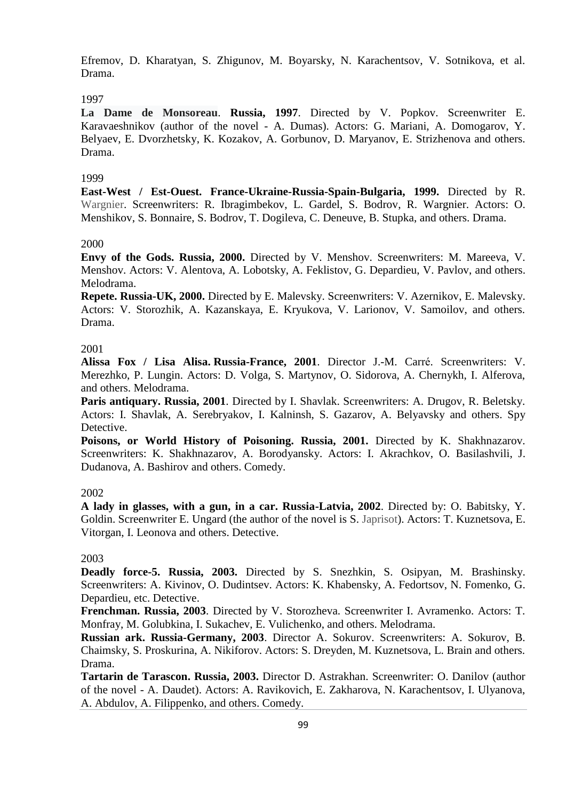Efremov, D. Kharatyan, S. Zhigunov, M. Boyarsky, N. Karachentsov, V. Sotnikova, et al. Drama.

# 1997

**La Dame de Monsoreau**. **Russia, 1997**. Directed by V. Popkov. Screenwriter E. Karavaeshnikov (author of the novel - A. Dumas). Actors: G. Mariani, A. Domogarov, Y. Belyaev, E. Dvorzhetsky, K. Kozakov, A. Gorbunov, D. Maryanov, E. Strizhenova and others. Drama.

# 1999

**East-West / Est-Ouest. France-Ukraine-Russia-Spain-Bulgaria, 1999.** Directed by R. Wargnier. Screenwriters: R. Ibragimbekov, L. Gardel, S. Bodrov, R. Wargnier. Actors: O. Menshikov, S. Bonnaire, S. Bodrov, T. Dogileva, C. Deneuve, B. Stupka, and others. Drama.

# 2000

**Envy of the Gods. Russia, 2000.** Directed by V. Menshov. Screenwriters: M. Mareeva, V. Menshov. Actors: V. Alentova, A. Lobotsky, A. Feklistov, G. Depardieu, V. Pavlov, and others. Melodrama.

**Repete. Russia-UK, 2000.** Directed by E. Malevsky. Screenwriters: V. Azernikov, E. Malevsky. Actors: V. Storozhik, A. Kazanskaya, E. Kryukova, V. Larionov, V. Samoilov, and others. Drama.

# 2001

**Alissa Fox / Lisa Alisa. Russia-France, 2001**. Director J.-M. Carré. Screenwriters: V. Merezhko, P. Lungin. Actors: D. Volga, S. Martynov, O. Sidorova, A. Chernykh, I. Alferova, and others. Melodrama.

**Paris antiquary. Russia, 2001**. Directed by I. Shavlak. Screenwriters: A. Drugov, R. Beletsky. Actors: I. Shavlak, A. Serebryakov, I. Kalninsh, S. Gazarov, A. Belyavsky and others. Spy Detective.

**Poisons, or World History of Poisoning. Russia, 2001.** Directed by K. Shakhnazarov. Screenwriters: K. Shakhnazarov, A. Borodyansky. Actors: I. Akrachkov, O. Basilashvili, J. Dudanova, A. Bashirov and others. Comedy.

# 2002

**A lady in glasses, with a gun, in a car. Russia-Latvia, 2002**. Directed by: O. Babitsky, Y. Goldin. Screenwriter E. Ungard (the author of the novel is S. Japrisot). Actors: T. Kuznetsova, E. Vitorgan, I. Leonova and others. Detective.

# 2003

**Deadly force-5. Russia, 2003.** Directed by S. Snezhkin, S. Osipyan, M. Brashinsky. Screenwriters: A. Kivinov, O. Dudintsev. Actors: K. Khabensky, A. Fedortsov, N. Fomenko, G. Depardieu, etc. Detective.

**Frenchman. Russia, 2003**. Directed by V. Storozheva. Screenwriter I. Avramenko. Actors: T. Monfray, M. Golubkina, I. Sukachev, E. Vulichenko, and others. Melodrama.

**Russian ark. Russia-Germany, 2003**. Director A. Sokurov. Screenwriters: A. Sokurov, B. Chaimsky, S. Proskurina, A. Nikiforov. Actors: S. Dreyden, M. Kuznetsova, L. Brain and others. Drama.

**Tartarin de Tarascon. Russia, 2003.** Director D. Astrakhan. Screenwriter: O. Danilov (author of the novel - A. Daudet). Actors: A. Ravikovich, E. Zakharova, N. Karachentsov, I. Ulyanova, A. Abdulov, A. Filippenko, and others. Comedy.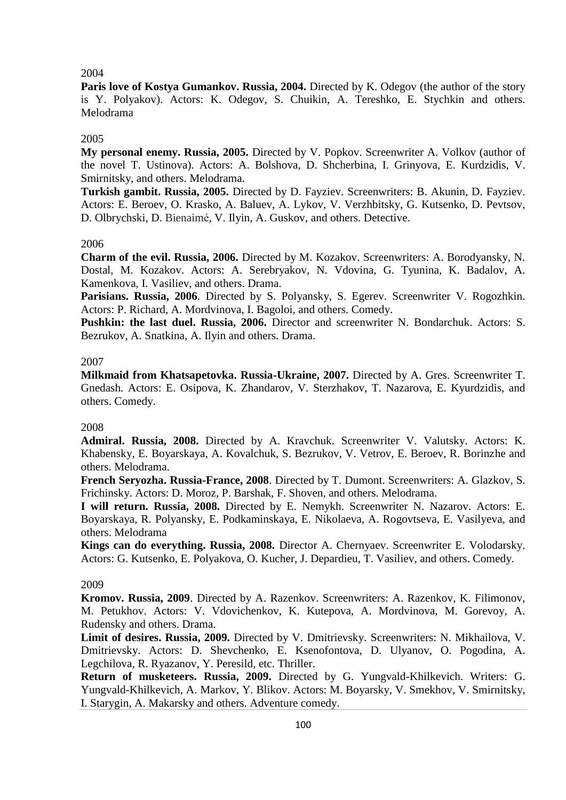## 2004

Paris love of Kostya Gumankov. Russia, 2004. Directed by K. Odegov (the author of the story is Y. Polyakov). Actors: K. Odegov, S. Chuikin, A. Tereshko, E. Stychkin and others. Melodrama

## 2005

**My personal enemy. Russia, 2005.** Directed by V. Popkov. Screenwriter A. Volkov (author of the novel T. Ustinova). Actors: A. Bolshova, D. Shcherbina, I. Grinyova, E. Kurdzidis, V. Smirnitsky, and others. Melodrama.

**Turkish gambit. Russia, 2005.** Directed by D. Fayziev. Screenwriters: B. Akunin, D. Fayziev. Actors: E. Beroev, O. Krasko, A. Baluev, A. Lykov, V. Verzhbitsky, G. Kutsenko, D. Pevtsov, D. Olbrychski, D. Bienaimé, V. Ilyin, A. Guskov, and others. Detective.

## 2006

**Charm of the evil. Russia, 2006.** Directed by M. Kozakov. Screenwriters: A. Borodyansky, N. Dostal, M. Kozakov. Actors: A. Serebryakov, N. Vdovina, G. Tyunina, K. Badalov, A. Kamenkova, I. Vasiliev, and others. Drama.

**Parisians. Russia, 2006**. Directed by S. Polyansky, S. Egerev. Screenwriter V. Rogozhkin. Actors: P. Richard, A. Mordvinova, I. Bagoloi, and others. Comedy.

**Pushkin: the last duel. Russia, 2006.** Director and screenwriter N. Bondarchuk. Actors: S. Bezrukov, A. Snatkina, A. Ilyin and others. Drama.

## 2007

**Milkmaid from Khatsapetovka. Russia-Ukraine, 2007.** Directed by A. Gres. Screenwriter T. Gnedash. Actors: E. Osipova, K. Zhandarov, V. Sterzhakov, T. Nazarova, E. Kyurdzidis, and others. Comedy.

### 2008

**Admiral. Russia, 2008.** Directed by A. Kravchuk. Screenwriter V. Valutsky. Actors: K. Khabensky, E. Boyarskaya, A. Kovalchuk, S. Bezrukov, V. Vetrov, E. Beroev, R. Borinzhe and others. Melodrama.

**French Seryozha. Russia-France, 2008**. Directed by T. Dumont. Screenwriters: A. Glazkov, S. Frichinsky. Actors: D. Moroz, P. Barshak, F. Shoven, and others. Melodrama.

**I will return. Russia, 2008.** Directed by E. Nemykh. Screenwriter N. Nazarov. Actors: E. Boyarskaya, R. Polyansky, E. Podkaminskaya, E. Nikolaeva, A. Rogovtseva, E. Vasilyeva, and others. Melodrama

**Kings can do everything. Russia, 2008.** Director A. Chernyaev. Screenwriter E. Volodarsky. Actors: G. Kutsenko, E. Polyakova, O. Kucher, J. Depardieu, T. Vasiliev, and others. Comedy.

### 2009

**Kromov. Russia, 2009**. Directed by A. Razenkov. Screenwriters: A. Razenkov, K. Filimonov, M. Petukhov. Actors: V. Vdovichenkov, K. Kutepova, A. Mordvinova, M. Gorevoy, A. Rudensky and others. Drama.

**Limit of desires. Russia, 2009.** Directed by V. Dmitrievsky. Screenwriters: N. Mikhailova, V. Dmitrievsky. Actors: D. Shevchenko, E. Ksenofontova, D. Ulyanov, O. Pogodina, A. Legchilova, R. Ryazanov, Y. Peresild, etc. Thriller.

**Return of musketeers. Russia, 2009.** Directed by G. Yungvald-Khilkevich. Writers: G. Yungvald-Khilkevich, A. Markov, Y. Blikov. Actors: M. Boyarsky, V. Smekhov, V. Smirnitsky, I. Starygin, A. Makarsky and others. Adventure comedy.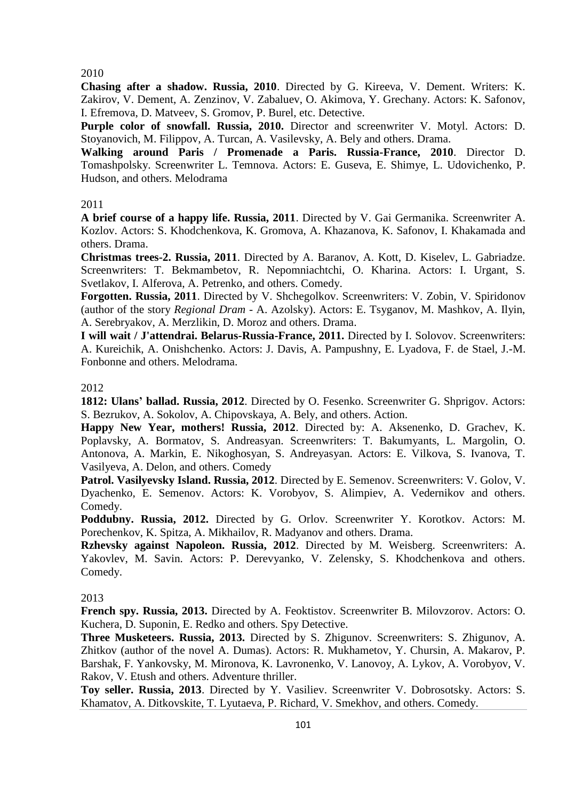2010

**Chasing after a shadow. Russia, 2010**. Directed by G. Kireeva, V. Dement. Writers: K. Zakirov, V. Dement, A. Zenzinov, V. Zabaluev, O. Akimova, Y. Grechany. Actors: K. Safonov, I. Efremova, D. Matveev, S. Gromov, P. Burel, etc. Detective.

**Purple color of snowfall. Russia, 2010.** Director and screenwriter V. Motyl. Actors: D. Stoyanovich, M. Filippov, A. Turcan, A. Vasilevsky, A. Bely and others. Drama.

**Walking around Paris / Promenade a Paris. Russia-France, 2010**. Director D. Tomashpolsky. Screenwriter L. Temnova. Actors: E. Guseva, E. Shimye, L. Udovichenko, P. Hudson, and others. Melodrama

# 2011

**A brief course of a happy life. Russia, 2011**. Directed by V. Gai Germanika. Screenwriter A. Kozlov. Actors: S. Khodchenkova, K. Gromova, A. Khazanova, K. Safonov, I. Khakamada and others. Drama.

**Christmas trees-2. Russia, 2011**. Directed by A. Baranov, A. Kott, D. Kiselev, L. Gabriadze. Screenwriters: T. Bekmambetov, R. Nepomniachtchi, O. Kharina. Actors: I. Urgant, S. Svetlakov, I. Alferova, A. Petrenko, and others. Comedy.

**Forgotten. Russia, 2011**. Directed by V. Shchegolkov. Screenwriters: V. Zobin, V. Spiridonov (author of the story *Regional Dram -* A. Azolsky). Actors: E. Tsyganov, M. Mashkov, A. Ilyin, A. Serebryakov, A. Merzlikin, D. Moroz and others. Drama.

**I will wait / J'attendrai. Belarus-Russia-France, 2011.** Directed by I. Solovov. Screenwriters: A. Kureichik, A. Onishchenko. Actors: J. Davis, A. Pampushny, E. Lyadova, F. de Stael, J.-M. Fonbonne and others. Melodrama.

## 2012

**1812: Ulans' ballad. Russia, 2012**. Directed by O. Fesenko. Screenwriter G. Shprigov. Actors: S. Bezrukov, A. Sokolov, A. Chipovskaya, A. Bely, and others. Action.

**Happy New Year, mothers! Russia, 2012**. Directed by: A. Aksenenko, D. Grachev, K. Poplavsky, A. Bormatov, S. Andreasyan. Screenwriters: T. Bakumyants, L. Margolin, O. Antonova, A. Markin, E. Nikoghosyan, S. Andreyasyan. Actors: E. Vilkova, S. Ivanova, T. Vasilyeva, A. Delon, and others. Comedy

**Patrol. Vasilyevsky Island. Russia, 2012**. Directed by E. Semenov. Screenwriters: V. Golov, V. Dyachenko, E. Semenov. Actors: K. Vorobyov, S. Alimpiev, A. Vedernikov and others. Comedy.

**Poddubny. Russia, 2012.** Directed by G. Orlov. Screenwriter Y. Korotkov. Actors: M. Porechenkov, K. Spitza, A. Mikhailov, R. Madyanov and others. Drama.

**Rzhevsky against Napoleon. Russia, 2012**. Directed by M. Weisberg. Screenwriters: A. Yakovlev, M. Savin. Actors: P. Derevyanko, V. Zelensky, S. Khodchenkova and others. Comedy.

# 2013

**French spy. Russia, 2013.** Directed by A. Feoktistov. Screenwriter B. Milovzorov. Actors: O. Kuchera, D. Suponin, E. Redko and others. Spy Detective.

**Three Musketeers. Russia, 2013.** Directed by S. Zhigunov. Screenwriters: S. Zhigunov, A. Zhitkov (author of the novel A. Dumas). Actors: R. Mukhametov, Y. Chursin, A. Makarov, P. Barshak, F. Yankovsky, M. Mironova, K. Lavronenko, V. Lanovoy, A. Lykov, A. Vorobyov, V. Rakov, V. Etush and others. Adventure thriller.

**Toy seller. Russia, 2013**. Directed by Y. Vasiliev. Screenwriter V. Dobrosotsky. Actors: S. Khamatov, A. Ditkovskite, T. Lyutaeva, P. Richard, V. Smekhov, and others. Comedy.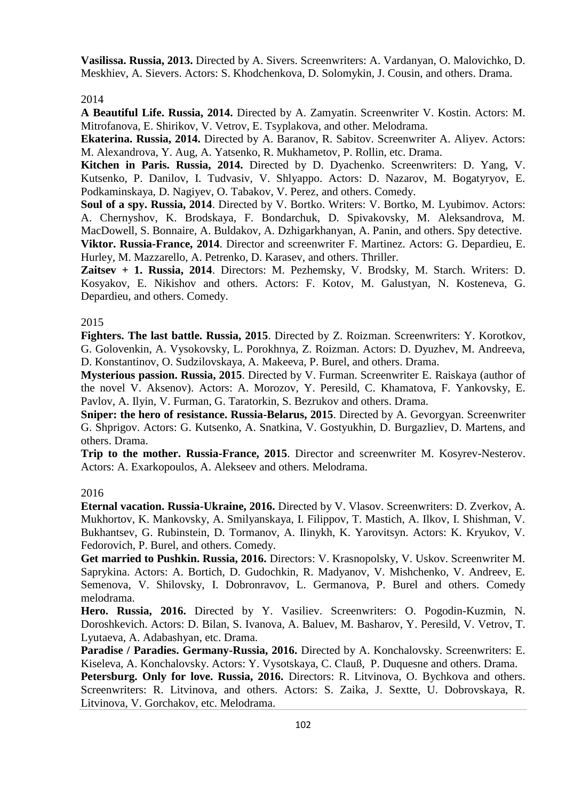**Vasilissa. Russia, 2013.** Directed by A. Sivers. Screenwriters: A. Vardanyan, O. Malovichko, D. Meskhiev, A. Sievers. Actors: S. Khodchenkova, D. Solomykin, J. Cousin, and others. Drama.

2014

**A Beautiful Life. Russia, 2014.** Directed by A. Zamyatin. Screenwriter V. Kostin. Actors: M. Mitrofanova, E. Shirikov, V. Vetrov, E. Tsyplakova, and other. Melodrama.

**Ekaterina. Russia, 2014.** Directed by A. Baranov, R. Sabitov. Screenwriter A. Aliyev. Actors: M. Alexandrova, Y. Aug, A. Yatsenko, R. Mukhametov, P. Rollin, etc. Drama.

**Kitchen in Paris. Russia, 2014.** Directed by D. Dyachenko. Screenwriters: D. Yang, V. Kutsenko, P. Danilov, I. Tudvasiv, V. Shlyappo. Actors: D. Nazarov, M. Bogatyryov, E. Podkaminskaya, D. Nagiyev, O. Tabakov, V. Perez, and others. Comedy.

**Soul of a spy. Russia, 2014**. Directed by V. Bortko. Writers: V. Bortko, M. Lyubimov. Actors: A. Chernyshov, K. Brodskaya, F. Bondarchuk, D. Spivakovsky, M. Aleksandrova, M. MacDowell, S. Bonnaire, A. Buldakov, A. Dzhigarkhanyan, A. Panin, and others. Spy detective. **Viktor. Russia-France, 2014**. Director and screenwriter F. Martinez. Actors: G. Depardieu, E. Hurley, M. Mazzarello, A. Petrenko, D. Karasev, and others. Thriller.

**Zaitsev + 1. Russia, 2014**. Directors: M. Pezhemsky, V. Brodsky, M. Starch. Writers: D. Kosyakov, E. Nikishov and others. Actors: F. Kotov, M. Galustyan, N. Kosteneva, G. Depardieu, and others. Comedy.

## 2015

**Fighters. The last battle. Russia, 2015**. Directed by Z. Roizman. Screenwriters: Y. Korotkov, G. Golovenkin, A. Vysokovsky, L. Porokhnya, Z. Roizman. Actors: D. Dyuzhev, M. Andreeva, D. Konstantinov, O. Sudzilovskaya, A. Makeeva, P. Burel, and others. Drama.

**Mysterious passion. Russia, 2015**. Directed by V. Furman. Screenwriter E. Raiskaya (author of the novel V. Aksenov). Actors: A. Morozov, Y. Peresild, C. Khamatova, F. Yankovsky, E. Pavlov, A. Ilyin, V. Furman, G. Taratorkin, S. Bezrukov and others. Drama.

**Sniper: the hero of resistance. Russia-Belarus, 2015**. Directed by A. Gevorgyan. Screenwriter G. Shprigov. Actors: G. Kutsenko, A. Snatkina, V. Gostyukhin, D. Burgazliev, D. Martens, and others. Drama.

**Trip to the mother. Russia-France, 2015**. Director and screenwriter M. Kosyrev-Nesterov. Actors: A. Exarkopoulos, A. Alekseev and others. Melodrama.

## 2016

**Eternal vacation. Russia-Ukraine, 2016.** Directed by V. Vlasov. Screenwriters: D. Zverkov, A. Mukhortov, K. Mankovsky, A. Smilyanskaya, I. Filippov, T. Mastich, A. Ilkov, I. Shishman, V. Bukhantsev, G. Rubinstein, D. Tormanov, A. Ilinykh, K. Yarovitsyn. Actors: K. Kryukov, V. Fedorovich, P. Burel, and others. Comedy.

**Get married to Pushkin. Russia, 2016.** Directors: V. Krasnopolsky, V. Uskov. Screenwriter M. Saprykina. Actors: A. Bortich, D. Gudochkin, R. Madyanov, V. Mishchenko, V. Andreev, E. Semenova, V. Shilovsky, I. Dobronravov, L. Germanova, P. Burel and others. Comedy melodrama.

**Hero. Russia, 2016.** Directed by Y. Vasiliev. Screenwriters: O. Pogodin-Kuzmin, N. Doroshkevich. Actors: D. Bilan, S. Ivanova, A. Baluev, M. Basharov, Y. Peresild, V. Vetrov, T. Lyutaeva, A. Adabashyan, etc. Drama.

**Paradise / Paradies. Germany-Russia, 2016.** Directed by A. Konchalovsky. Screenwriters: E. Kiseleva, A. Konchalovsky. Actors: Y. Vysotskaya, C. Clauß, P. Duquesne and others. Drama.

**Petersburg. Only for love. Russia, 2016.** Directors: R. Litvinova, O. Bychkova and others. Screenwriters: R. Litvinova, and others. Actors: S. Zaika, J. Sextte, U. Dobrovskaya, R. Litvinova, V. Gorchakov, etc. Melodrama.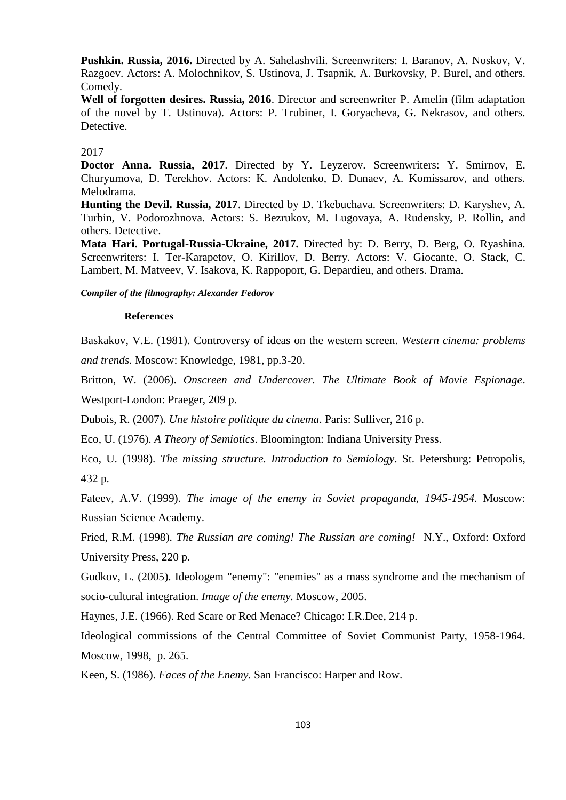**Pushkin. Russia, 2016.** Directed by A. Sahelashvili. Screenwriters: I. Baranov, A. Noskov, V. Razgoev. Actors: A. Molochnikov, S. Ustinova, J. Tsapnik, A. Burkovsky, P. Burel, and others. Comedy.

**Well of forgotten desires. Russia, 2016**. Director and screenwriter P. Amelin (film adaptation of the novel by T. Ustinova). Actors: P. Trubiner, I. Goryacheva, G. Nekrasov, and others. Detective.

#### 2017

**Doctor Anna. Russia, 2017**. Directed by Y. Leyzerov. Screenwriters: Y. Smirnov, E. Churyumova, D. Terekhov. Actors: K. Andolenko, D. Dunaev, A. Komissarov, and others. Melodrama.

**Hunting the Devil. Russia, 2017**. Directed by D. Tkebuchava. Screenwriters: D. Karyshev, A. Turbin, V. Podorozhnova. Actors: S. Bezrukov, M. Lugovaya, A. Rudensky, P. Rollin, and others. Detective.

**Mata Hari. Portugal-Russia-Ukraine, 2017.** Directed by: D. Berry, D. Berg, O. Ryashina. Screenwriters: I. Ter-Karapetov, O. Kirillov, D. Berry. Actors: V. Giocante, O. Stack, C. Lambert, M. Matveev, V. Isakova, K. Rappoport, G. Depardieu, and others. Drama.

*Compiler of the filmography: Alexander Fedorov*

#### **References**

Baskakov, V.E. (1981). Controversy of ideas on the western screen. *Western cinema: problems and trends.* Moscow: Knowledge, 1981, pp.3-20.

Britton, W. (2006). *Onscreen and Undercover. The Ultimate Book of Movie Espionage*. Westport-London: Praeger, 209 p.

Dubois, R. (2007). *Une histoire politique du cinema*. Paris: Sulliver, 216 p.

Eco, U. (1976). *A Theory of Semiotics*. Bloomington: Indiana University Press.

Eco, U. (1998). *The missing structure. Introduction to Semiology*. St. Petersburg: Petropolis, 432 p.

Fateev, A.V. (1999). *The image of the enemy in Soviet propaganda, 1945-1954.* Moscow: Russian Science Academy.

Fried, R.M. (1998). *The Russian are coming! The Russian are coming!* N.Y., Oxford: Oxford University Press, 220 p.

Gudkov, L. (2005). Ideologem "enemy": "enemies" as a mass syndrome and the mechanism of socio-cultural integration. *Image of the enemy*. Moscow, 2005.

Haynes, J.E. (1966). Red Scare or Red Menace? Chicago: I.R.Dee, 214 p.

Ideological commissions of the Central Committee of Soviet Communist Party, 1958-1964. Moscow, 1998, p. 265.

Keen, S. (1986). *Faces of the Enemy.* San Francisco: Harper and Row.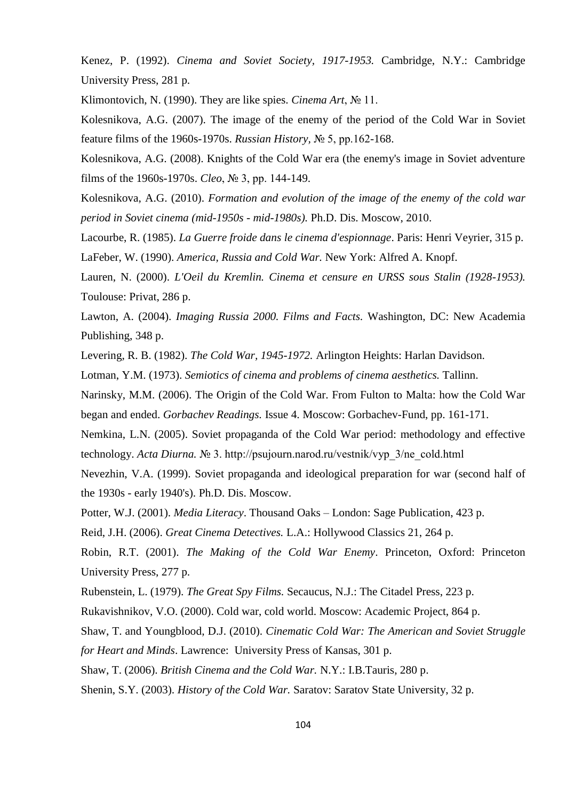Kenez, P. (1992). *Cinema and Soviet Society, 1917-1953.* Cambridge, N.Y.: Cambridge University Press, 281 p.

Klimontovich, N. (1990). They are like spies. *Cinema Art*, № 11.

Kolesnikova, A.G. (2007). The image of the enemy of the period of the Cold War in Soviet feature films of the 1960s-1970s. *Russian History,* № 5, pp.162-168.

Kolesnikova, A.G. (2008). Knights of the Cold War era (the enemy's image in Soviet adventure films of the 1960s-1970s. *Cleo*, № 3, pp. 144-149.

Kolesnikova, A.G. (2010). *Formation and evolution of the image of the enemy of the cold war period in Soviet cinema (mid-1950s - mid-1980s).* Ph.D. Dis. Moscow, 2010.

Lacourbe, R. (1985). *La Guerre froide dans le cinema d'espionnage*. Paris: Henri Veyrier, 315 p. LaFeber, W. (1990). *America, Russia and Cold War.* New York: Alfred A. Knopf.

Lauren, N. (2000). *L'Oeil du Kremlin. Cinema et censure en URSS sous Stalin (1928-1953).* Toulouse: Privat, 286 p.

Lawton, A. (2004). *Imaging Russia 2000. Films and Facts.* Washington, DC: New Academia Publishing, 348 p.

Levering, R. B. (1982). *The Cold War, 1945-1972.* Arlington Heights: Harlan Davidson.

Lotman, Y.M. (1973). *Semiotics of cinema and problems of cinema aesthetics.* Tallinn.

Narinsky, M.M. (2006). The Origin of the Cold War. From Fulton to Malta: how the Cold War began and ended. *Gorbachev Readings.* Issue 4. Moscow: Gorbachev-Fund, pp. 161-171.

Nemkina, L.N. (2005). Soviet propaganda of the Cold War period: methodology and effective technology. *Acta Diurna.* № 3. http://psujourn.narod.ru/vestnik/vyp\_3/ne\_cold.html

Nevezhin, V.A. (1999). Soviet propaganda and ideological preparation for war (second half of the 1930s - early 1940's). Ph.D. Dis. Moscow.

Potter, W.J. (2001). *Media Literacy*. Thousand Oaks – London: Sage Publication, 423 p.

Reid, J.H. (2006). *Great Cinema Detectives.* L.A.: Hollywood Classics 21, 264 p.

Robin, R.T. (2001). *The Making of the Cold War Enemy*. Princeton, Oxford: Princeton University Press, 277 p.

Rubenstein, L. (1979). *The Great Spy Films.* Secaucus, N.J.: The Citadel Press, 223 p.

Rukavishnikov, V.O. (2000). Cold war, cold world. Moscow: Academic Project, 864 p.

Shaw, T. and Youngblood, D.J. (2010). *Cinematic Cold War: The American and Soviet Struggle for Heart and Minds*. Lawrence: University Press of Kansas, 301 p.

Shaw, T. (2006). *British Cinema and the Cold War.* N.Y.: I.B.Tauris, 280 p.

Shenin, S.Y. (2003). *History of the Cold War.* Saratov: Saratov State University, 32 p.